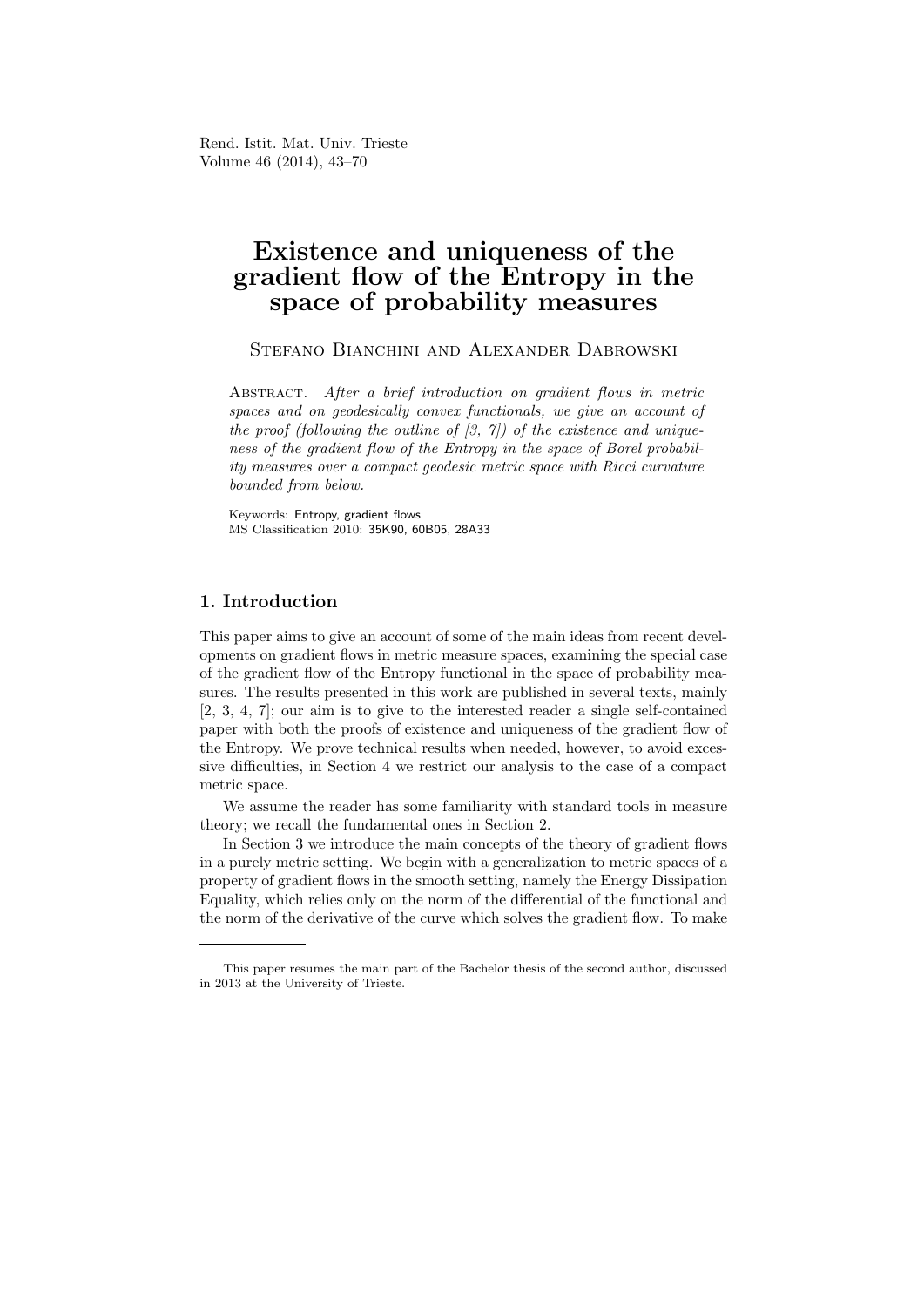Rend. Istit. Mat. Univ. Trieste Volume 46 (2014), 43–70

# Existence and uniqueness of the gradient flow of the Entropy in the space of probability measures

STEFANO BIANCHINI AND ALEXANDER DABROWSKI

Abstract. After a brief introduction on gradient flows in metric spaces and on geodesically convex functionals, we give an account of the proof (following the outline of  $(3, 7)$ ) of the existence and uniqueness of the gradient flow of the Entropy in the space of Borel probability measures over a compact geodesic metric space with Ricci curvature bounded from below.

Keywords: Entropy, gradient flows MS Classification 2010: 35K90, 60B05, 28A33

# 1. Introduction

This paper aims to give an account of some of the main ideas from recent developments on gradient flows in metric measure spaces, examining the special case of the gradient flow of the Entropy functional in the space of probability measures. The results presented in this work are published in several texts, mainly [2, 3, 4, 7]; our aim is to give to the interested reader a single self-contained paper with both the proofs of existence and uniqueness of the gradient flow of the Entropy. We prove technical results when needed, however, to avoid excessive difficulties, in Section 4 we restrict our analysis to the case of a compact metric space.

We assume the reader has some familiarity with standard tools in measure theory; we recall the fundamental ones in Section 2.

In Section 3 we introduce the main concepts of the theory of gradient flows in a purely metric setting. We begin with a generalization to metric spaces of a property of gradient flows in the smooth setting, namely the Energy Dissipation Equality, which relies only on the norm of the differential of the functional and the norm of the derivative of the curve which solves the gradient flow. To make

This paper resumes the main part of the Bachelor thesis of the second author, discussed in 2013 at the University of Trieste.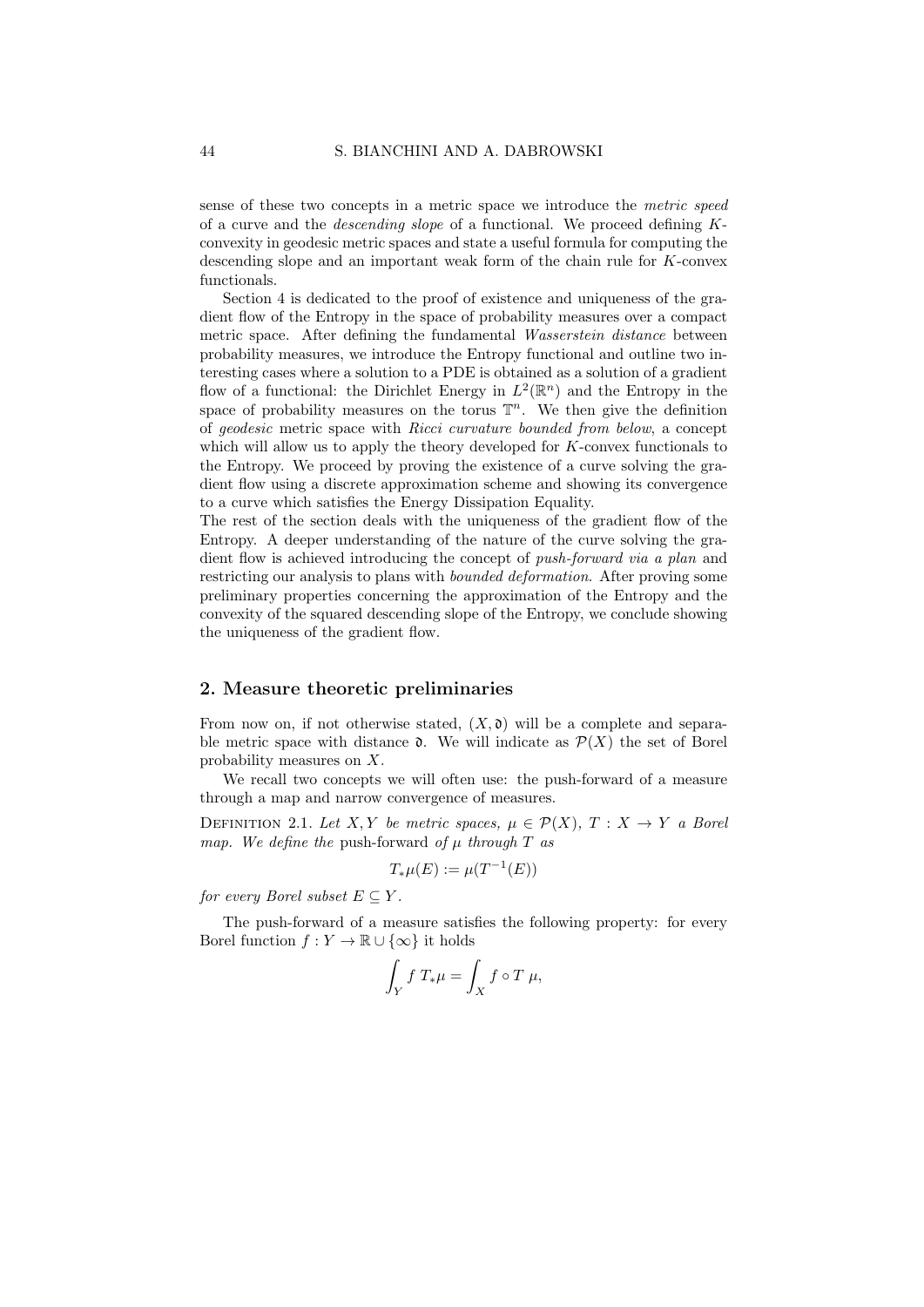sense of these two concepts in a metric space we introduce the metric speed of a curve and the descending slope of a functional. We proceed defining Kconvexity in geodesic metric spaces and state a useful formula for computing the descending slope and an important weak form of the chain rule for K-convex functionals.

Section 4 is dedicated to the proof of existence and uniqueness of the gradient flow of the Entropy in the space of probability measures over a compact metric space. After defining the fundamental *Wasserstein distance* between probability measures, we introduce the Entropy functional and outline two interesting cases where a solution to a PDE is obtained as a solution of a gradient flow of a functional: the Dirichlet Energy in  $L^2(\mathbb{R}^n)$  and the Entropy in the space of probability measures on the torus  $\mathbb{T}^n$ . We then give the definition of geodesic metric space with Ricci curvature bounded from below, a concept which will allow us to apply the theory developed for K-convex functionals to the Entropy. We proceed by proving the existence of a curve solving the gradient flow using a discrete approximation scheme and showing its convergence to a curve which satisfies the Energy Dissipation Equality.

The rest of the section deals with the uniqueness of the gradient flow of the Entropy. A deeper understanding of the nature of the curve solving the gradient flow is achieved introducing the concept of *push-forward via a plan* and restricting our analysis to plans with bounded deformation. After proving some preliminary properties concerning the approximation of the Entropy and the convexity of the squared descending slope of the Entropy, we conclude showing the uniqueness of the gradient flow.

### 2. Measure theoretic preliminaries

From now on, if not otherwise stated,  $(X, \mathfrak{d})$  will be a complete and separable metric space with distance  $\mathfrak{d}$ . We will indicate as  $\mathcal{P}(X)$  the set of Borel probability measures on X.

We recall two concepts we will often use: the push-forward of a measure through a map and narrow convergence of measures.

DEFINITION 2.1. Let X, Y be metric spaces,  $\mu \in \mathcal{P}(X)$ ,  $T : X \rightarrow Y$  a Borel map. We define the push-forward of  $\mu$  through  $T$  as

$$
T_*\mu(E) := \mu(T^{-1}(E))
$$

for every Borel subset  $E \subseteq Y$ .

The push-forward of a measure satisfies the following property: for every Borel function  $f: Y \to \mathbb{R} \cup {\infty}$  it holds

$$
\int_Y f T_* \mu = \int_X f \circ T \mu,
$$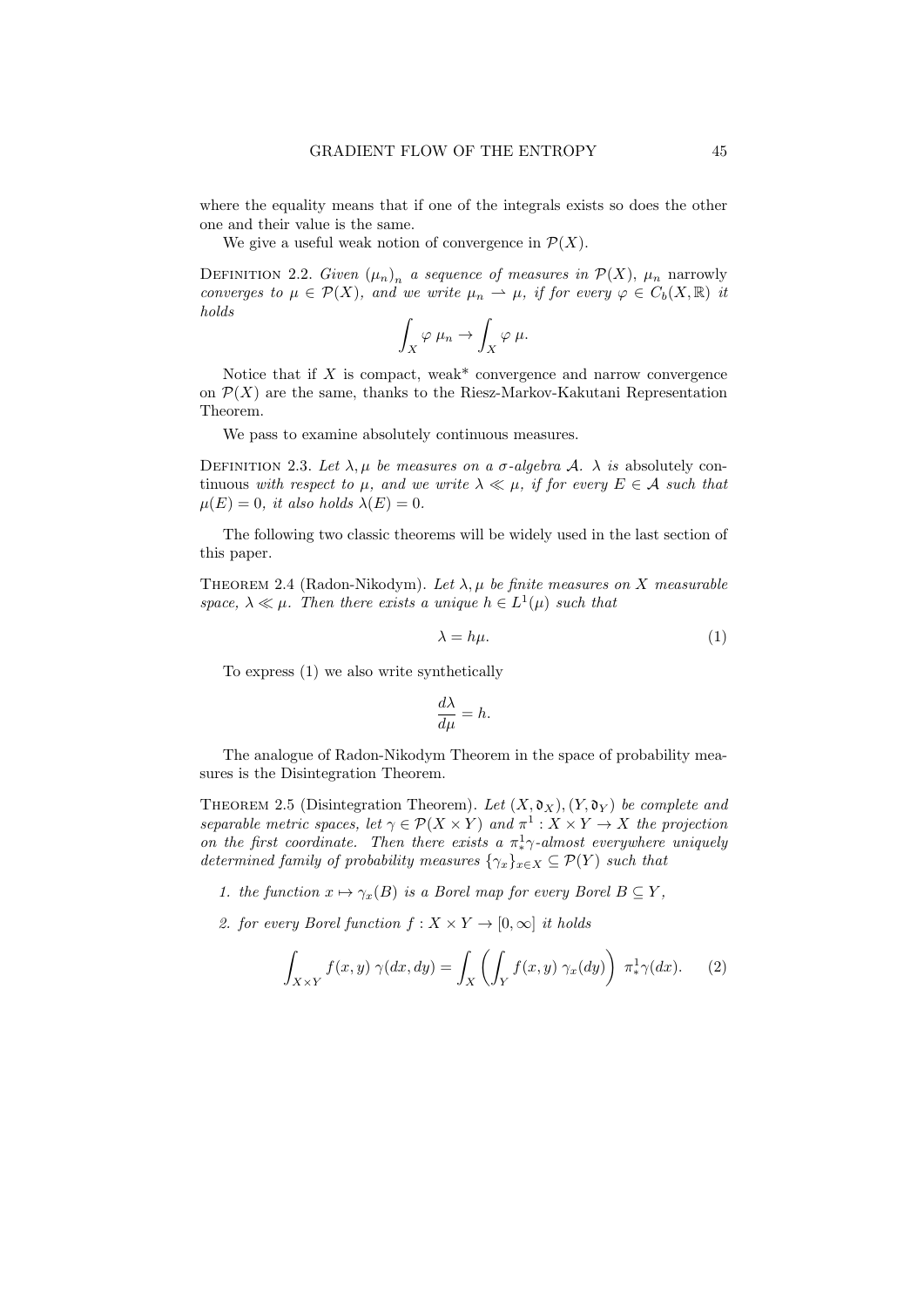where the equality means that if one of the integrals exists so does the other one and their value is the same.

We give a useful weak notion of convergence in  $\mathcal{P}(X)$ .

DEFINITION 2.2. Given  $(\mu_n)_n$  a sequence of measures in  $\mathcal{P}(X)$ ,  $\mu_n$  narrowly converges to  $\mu \in \mathcal{P}(X)$ , and we write  $\mu_n \to \mu$ , if for every  $\varphi \in C_b(X,\mathbb{R})$  it holds

$$
\int_X \varphi \mu_n \to \int_X \varphi \mu.
$$

Notice that if  $X$  is compact, weak\* convergence and narrow convergence on  $\mathcal{P}(X)$  are the same, thanks to the Riesz-Markov-Kakutani Representation Theorem.

We pass to examine absolutely continuous measures.

DEFINITION 2.3. Let  $\lambda, \mu$  be measures on a  $\sigma$ -algebra A.  $\lambda$  is absolutely continuous with respect to  $\mu$ , and we write  $\lambda \ll \mu$ , if for every  $E \in \mathcal{A}$  such that  $\mu(E) = 0$ , it also holds  $\lambda(E) = 0$ .

The following two classic theorems will be widely used in the last section of this paper.

THEOREM 2.4 (Radon-Nikodym). Let  $\lambda, \mu$  be finite measures on X measurable space,  $\lambda \ll \mu$ . Then there exists a unique  $h \in L^1(\mu)$  such that

$$
\lambda = h\mu. \tag{1}
$$

To express (1) we also write synthetically

$$
\frac{d\lambda}{d\mu} = h.
$$

The analogue of Radon-Nikodym Theorem in the space of probability measures is the Disintegration Theorem.

THEOREM 2.5 (Disintegration Theorem). Let  $(X, \mathfrak{d}_X), (Y, \mathfrak{d}_Y)$  be complete and separable metric spaces, let  $\gamma \in \mathcal{P}(X \times Y)$  and  $\pi^1 : X \times Y \to X$  the projection on the first coordinate. Then there exists a  $\pi^1$ <sub>\*</sub> $\gamma$ -almost everywhere uniquely determined family of probability measures  $\{\gamma_x\}_{x\in X}\subseteq \mathcal{P}(Y)$  such that

- 1. the function  $x \mapsto \gamma_x(B)$  is a Borel map for every Borel  $B \subseteq Y$ ,
- 2. for every Borel function  $f: X \times Y \to [0, \infty]$  it holds

$$
\int_{X \times Y} f(x, y) \gamma(dx, dy) = \int_X \left( \int_Y f(x, y) \gamma_x(dy) \right) \pi^1_* \gamma(dx). \tag{2}
$$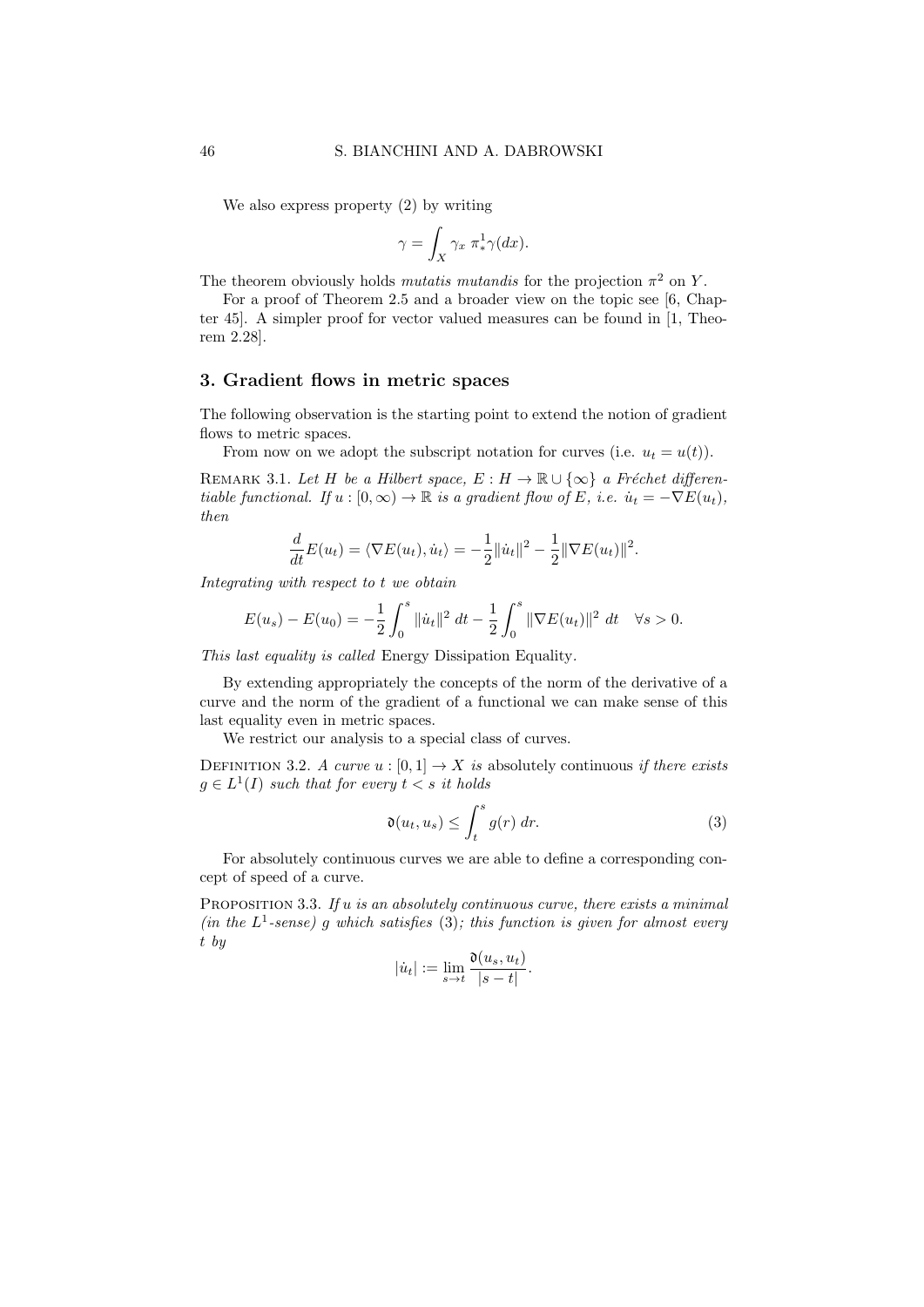We also express property (2) by writing

$$
\gamma = \int_X \gamma_x \; \pi^1_* \gamma(dx).
$$

The theorem obviously holds *mutatis mutandis* for the projection  $\pi^2$  on Y.

For a proof of Theorem 2.5 and a broader view on the topic see [6, Chapter 45]. A simpler proof for vector valued measures can be found in [1, Theorem 2.28].

# 3. Gradient flows in metric spaces

The following observation is the starting point to extend the notion of gradient flows to metric spaces.

From now on we adopt the subscript notation for curves (i.e.  $u_t = u(t)$ ).

REMARK 3.1. Let H be a Hilbert space,  $E : H \to \mathbb{R} \cup {\infty}$  a Fréchet differentiable functional. If  $u : [0, \infty) \to \mathbb{R}$  is a gradient flow of E, i.e.  $\dot{u}_t = -\nabla E(u_t)$ , then

$$
\frac{d}{dt}E(u_t) = \langle \nabla E(u_t), \dot{u}_t \rangle = -\frac{1}{2} ||\dot{u}_t||^2 - \frac{1}{2} ||\nabla E(u_t)||^2.
$$

Integrating with respect to t we obtain

$$
E(u_s) - E(u_0) = -\frac{1}{2} \int_0^s \|\dot{u}_t\|^2 dt - \frac{1}{2} \int_0^s \|\nabla E(u_t)\|^2 dt \quad \forall s > 0.
$$

This last equality is called Energy Dissipation Equality.

By extending appropriately the concepts of the norm of the derivative of a curve and the norm of the gradient of a functional we can make sense of this last equality even in metric spaces.

We restrict our analysis to a special class of curves.

DEFINITION 3.2. A curve  $u : [0,1] \rightarrow X$  is absolutely continuous if there exists  $g \in L^1(I)$  such that for every  $t < s$  it holds

$$
\mathfrak{d}(u_t, u_s) \le \int_t^s g(r) \, dr. \tag{3}
$$

For absolutely continuous curves we are able to define a corresponding concept of speed of a curve.

PROPOSITION 3.3. If  $u$  is an absolutely continuous curve, there exists a minimal (in the  $L^1$ -sense) g which satisfies (3); this function is given for almost every t by

$$
|\dot{u}_t| := \lim_{s \to t} \frac{\mathfrak{d}(u_s, u_t)}{|s - t|}.
$$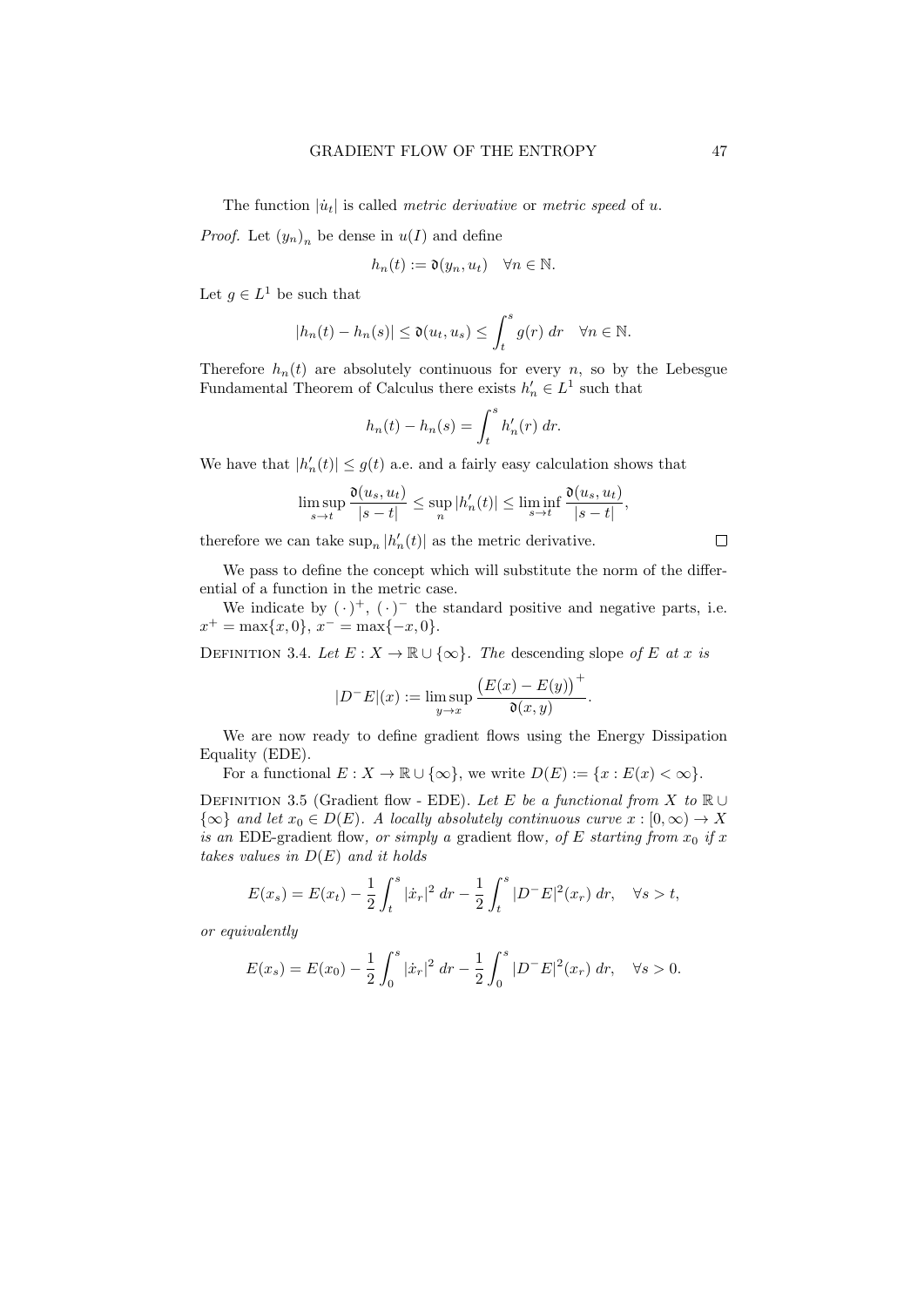The function  $|\dot{u}_t|$  is called *metric derivative* or *metric speed* of u.

*Proof.* Let  $(y_n)_n$  be dense in  $u(I)$  and define

$$
h_n(t) := \mathfrak{d}(y_n, u_t) \quad \forall n \in \mathbb{N}.
$$

Let  $g \in L^1$  be such that

$$
|h_n(t) - h_n(s)| \le \mathfrak{d}(u_t, u_s) \le \int_t^s g(r) \, dr \quad \forall n \in \mathbb{N}.
$$

Therefore  $h_n(t)$  are absolutely continuous for every n, so by the Lebesgue Fundamental Theorem of Calculus there exists  $h'_n \in L^1$  such that

$$
h_n(t) - h_n(s) = \int_t^s h'_n(r) dr.
$$

We have that  $|h'_n(t)| \leq g(t)$  a.e. and a fairly easy calculation shows that

$$
\limsup_{s \to t} \frac{\mathfrak{d}(u_s, u_t)}{|s-t|} \le \sup_n |h'_n(t)| \le \liminf_{s \to t} \frac{\mathfrak{d}(u_s, u_t)}{|s-t|},
$$

therefore we can take  $\sup_n |h'_n(t)|$  as the metric derivative.

We pass to define the concept which will substitute the norm of the differential of a function in the metric case.

We indicate by  $(\cdot)^+$ ,  $(\cdot)^-$  the standard positive and negative parts, i.e.  $x^+ = \max\{x, 0\}, x^- = \max\{-x, 0\}.$ 

DEFINITION 3.4. Let  $E: X \to \mathbb{R} \cup {\infty}$ . The descending slope of E at x is

$$
|D^{-}E|(x) := \limsup_{y \to x} \frac{\big(E(x) - E(y)\big)^{+}}{\mathfrak{d}(x, y)}.
$$

We are now ready to define gradient flows using the Energy Dissipation Equality (EDE).

For a functional  $E: X \to \mathbb{R} \cup \{\infty\}$ , we write  $D(E) := \{x : E(x) < \infty\}$ .

DEFINITION 3.5 (Gradient flow - EDE). Let E be a functional from X to R ∪  $\{\infty\}$  and let  $x_0 \in D(E)$ . A locally absolutely continuous curve  $x : [0, \infty) \to X$ is an EDE-gradient flow, or simply a gradient flow, of E starting from  $x_0$  if x takes values in  $D(E)$  and it holds

$$
E(x_s) = E(x_t) - \frac{1}{2} \int_t^s |\dot{x}_r|^2 dr - \frac{1}{2} \int_t^s |D^-E|^2(x_r) dr, \quad \forall s > t,
$$

or equivalently

$$
E(x_s) = E(x_0) - \frac{1}{2} \int_0^s |\dot{x}_r|^2 dr - \frac{1}{2} \int_0^s |D^-E|^2(x_r) dr, \quad \forall s > 0.
$$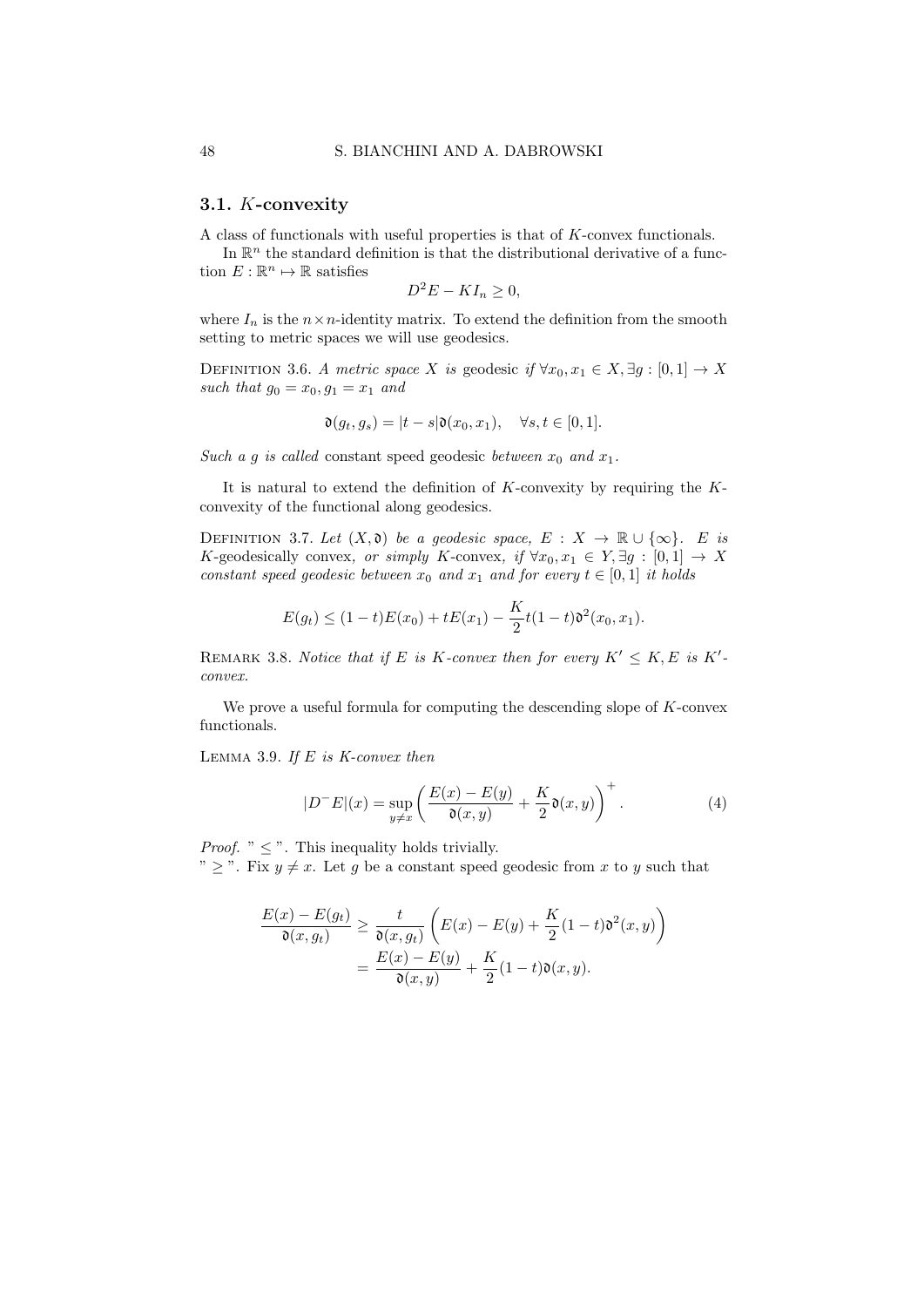#### 3.1. K-convexity

A class of functionals with useful properties is that of K-convex functionals.

In  $\mathbb{R}^n$  the standard definition is that the distributional derivative of a function  $E: \mathbb{R}^n \mapsto \mathbb{R}$  satisfies

 $D^2E - K I_n \geq 0$ ,

where  $I_n$  is the  $n \times n$ -identity matrix. To extend the definition from the smooth setting to metric spaces we will use geodesics.

DEFINITION 3.6. A metric space X is geodesic if  $\forall x_0, x_1 \in X, \exists g : [0, 1] \rightarrow X$ such that  $g_0 = x_0, g_1 = x_1$  and

$$
\mathfrak{d}(g_t, g_s) = |t - s| \mathfrak{d}(x_0, x_1), \quad \forall s, t \in [0, 1].
$$

Such a g is called constant speed geodesic between  $x_0$  and  $x_1$ .

It is natural to extend the definition of  $K$ -convexity by requiring the  $K$ convexity of the functional along geodesics.

DEFINITION 3.7. Let  $(X, \mathfrak{d})$  be a geodesic space,  $E : X \to \mathbb{R} \cup {\infty}$ . E is K-geodesically convex, or simply K-convex, if  $\forall x_0, x_1 \in Y, \exists g : [0,1] \rightarrow X$ constant speed geodesic between  $x_0$  and  $x_1$  and for every  $t \in [0,1]$  it holds

$$
E(g_t) \le (1-t)E(x_0) + tE(x_1) - \frac{K}{2}t(1-t)\mathfrak{d}^2(x_0, x_1).
$$

REMARK 3.8. Notice that if E is K-convex then for every  $K' \leq K$ , E is K'convex.

We prove a useful formula for computing the descending slope of  $K$ -convex functionals.

LEMMA 3.9. If  $E$  is  $K\text{-}convex$  then

$$
|D^{-}E|(x) = \sup_{y \neq x} \left( \frac{E(x) - E(y)}{\mathfrak{d}(x, y)} + \frac{K}{2} \mathfrak{d}(x, y) \right)^{+}.
$$
 (4)

*Proof.* "  $\leq$  ". This inequality holds trivially.

"  $\ge$ ". Fix  $y \neq x$ . Let g be a constant speed geodesic from x to y such that

$$
\frac{E(x) - E(g_t)}{\mathfrak{d}(x, g_t)} \ge \frac{t}{\mathfrak{d}(x, g_t)} \left( E(x) - E(y) + \frac{K}{2} (1 - t) \mathfrak{d}^2(x, y) \right)
$$

$$
= \frac{E(x) - E(y)}{\mathfrak{d}(x, y)} + \frac{K}{2} (1 - t) \mathfrak{d}(x, y).
$$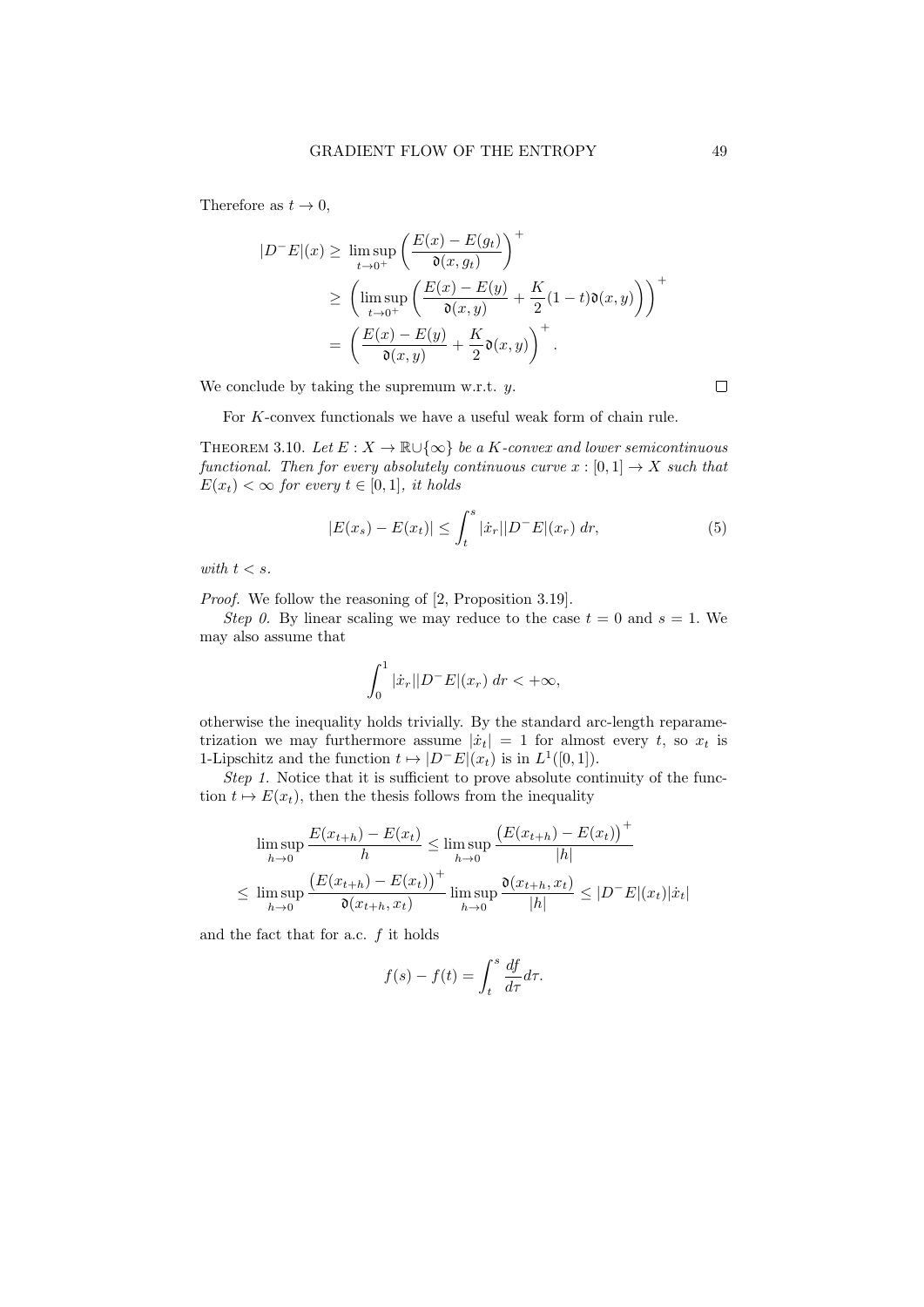Therefore as  $t \to 0$ ,

$$
|D^{-}E|(x) \ge \limsup_{t \to 0^{+}} \left(\frac{E(x) - E(g_t)}{\mathfrak{d}(x, g_t)}\right)^{+}
$$
  
 
$$
\ge \left(\limsup_{t \to 0^{+}} \left(\frac{E(x) - E(y)}{\mathfrak{d}(x, y)} + \frac{K}{2}(1 - t)\mathfrak{d}(x, y)\right)\right)^{+}
$$
  
 
$$
= \left(\frac{E(x) - E(y)}{\mathfrak{d}(x, y)} + \frac{K}{2}\mathfrak{d}(x, y)\right)^{+}.
$$

We conclude by taking the supremum w.r.t.  $y$ .

 $\Box$ 

For K-convex functionals we have a useful weak form of chain rule.

THEOREM 3.10. Let  $E: X \to \mathbb{R} \cup {\infty}$  be a K-convex and lower semicontinuous functional. Then for every absolutely continuous curve  $x : [0, 1] \rightarrow X$  such that  $E(x_t) < \infty$  for every  $t \in [0,1]$ , it holds

$$
|E(x_s) - E(x_t)| \le \int_t^s |\dot{x}_r| |D^-E|(x_r) \, dr,\tag{5}
$$

with  $t < s$ .

Proof. We follow the reasoning of [2, Proposition 3.19].

Step 0. By linear scaling we may reduce to the case  $t = 0$  and  $s = 1$ . We may also assume that

$$
\int_0^1 |\dot{x}_r| |D^-E|(x_r) dr < +\infty,
$$

otherwise the inequality holds trivially. By the standard arc-length reparametrization we may furthermore assume  $|\dot{x}_t| = 1$  for almost every t, so  $x_t$  is 1-Lipschitz and the function  $t \mapsto |D^-E|(x_t)$  is in  $L^1([0, 1])$ .

Step 1. Notice that it is sufficient to prove absolute continuity of the function  $t \mapsto E(x_t)$ , then the thesis follows from the inequality

$$
\limsup_{h \to 0} \frac{E(x_{t+h}) - E(x_t)}{h} \le \limsup_{h \to 0} \frac{\left(E(x_{t+h}) - E(x_t)\right)^+}{|h|}
$$
  

$$
\le \limsup_{h \to 0} \frac{\left(E(x_{t+h}) - E(x_t)\right)^+}{\mathfrak{d}(x_{t+h}, x_t)} \limsup_{h \to 0} \frac{\mathfrak{d}(x_{t+h}, x_t)}{|h|} \le |D^-E|(x_t)|\dot{x}_t|
$$

and the fact that for a.c.  $f$  it holds

$$
f(s) - f(t) = \int_{t}^{s} \frac{df}{d\tau} d\tau.
$$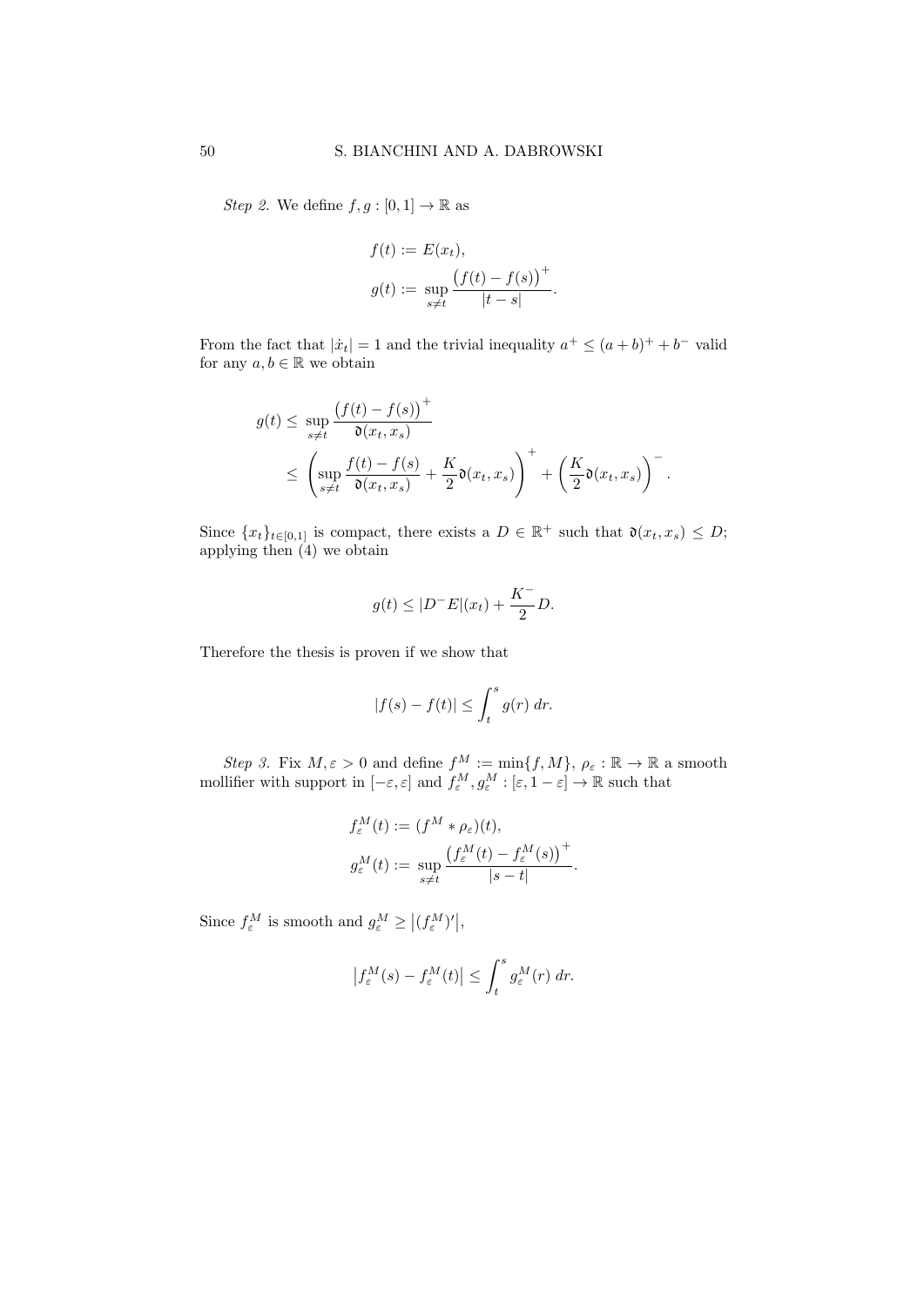*Step 2.* We define  $f, g : [0, 1] \to \mathbb{R}$  as

$$
f(t) := E(x_t),
$$
  
\n
$$
g(t) := \sup_{s \neq t} \frac{(f(t) - f(s))^{+}}{|t - s|}.
$$

From the fact that  $|\dot{x}_t| = 1$  and the trivial inequality  $a^+ \leq (a+b)^+ + b^-$  valid for any  $a, b \in \mathbb{R}$  we obtain

$$
g(t) \le \sup_{s \ne t} \frac{\left(f(t) - f(s)\right)^+}{\mathfrak{d}(x_t, x_s)}
$$
  
 
$$
\le \left(\sup_{s \ne t} \frac{f(t) - f(s)}{\mathfrak{d}(x_t, x_s)} + \frac{K}{2} \mathfrak{d}(x_t, x_s)\right)^+ + \left(\frac{K}{2} \mathfrak{d}(x_t, x_s)\right)^-.
$$

Since  $\{x_t\}_{t\in[0,1]}$  is compact, there exists a  $D \in \mathbb{R}^+$  such that  $\mathfrak{d}(x_t, x_s) \leq D;$ applying then  $(4)$  we obtain

$$
g(t) \le |D^-E|(x_t) + \frac{K^-}{2}D.
$$

Therefore the thesis is proven if we show that

$$
|f(s) - f(t)| \le \int_t^s g(r) \, dr.
$$

Step 3. Fix  $M, \varepsilon > 0$  and define  $f^M := \min\{f, M\}, \rho_{\varepsilon} : \mathbb{R} \to \mathbb{R}$  a smooth mollifier with support in  $[-\varepsilon, \varepsilon]$  and  $f_{\varepsilon}^M, g_{\varepsilon}^M : [\varepsilon, 1 - \varepsilon] \to \mathbb{R}$  such that

$$
f_{\varepsilon}^{M}(t) := (f^{M} * \rho_{\varepsilon})(t),
$$
  

$$
g_{\varepsilon}^{M}(t) := \sup_{s \neq t} \frac{(f_{\varepsilon}^{M}(t) - f_{\varepsilon}^{M}(s))^{+}}{|s - t|}.
$$

Since  $f_{\varepsilon}^M$  is smooth and  $g_{\varepsilon}^M \geq |(f_{\varepsilon}^M)'|$ ,

$$
\left|f_{\varepsilon}^{M}(s)-f_{\varepsilon}^{M}(t)\right| \leq \int_{t}^{s} g_{\varepsilon}^{M}(r) \, dr.
$$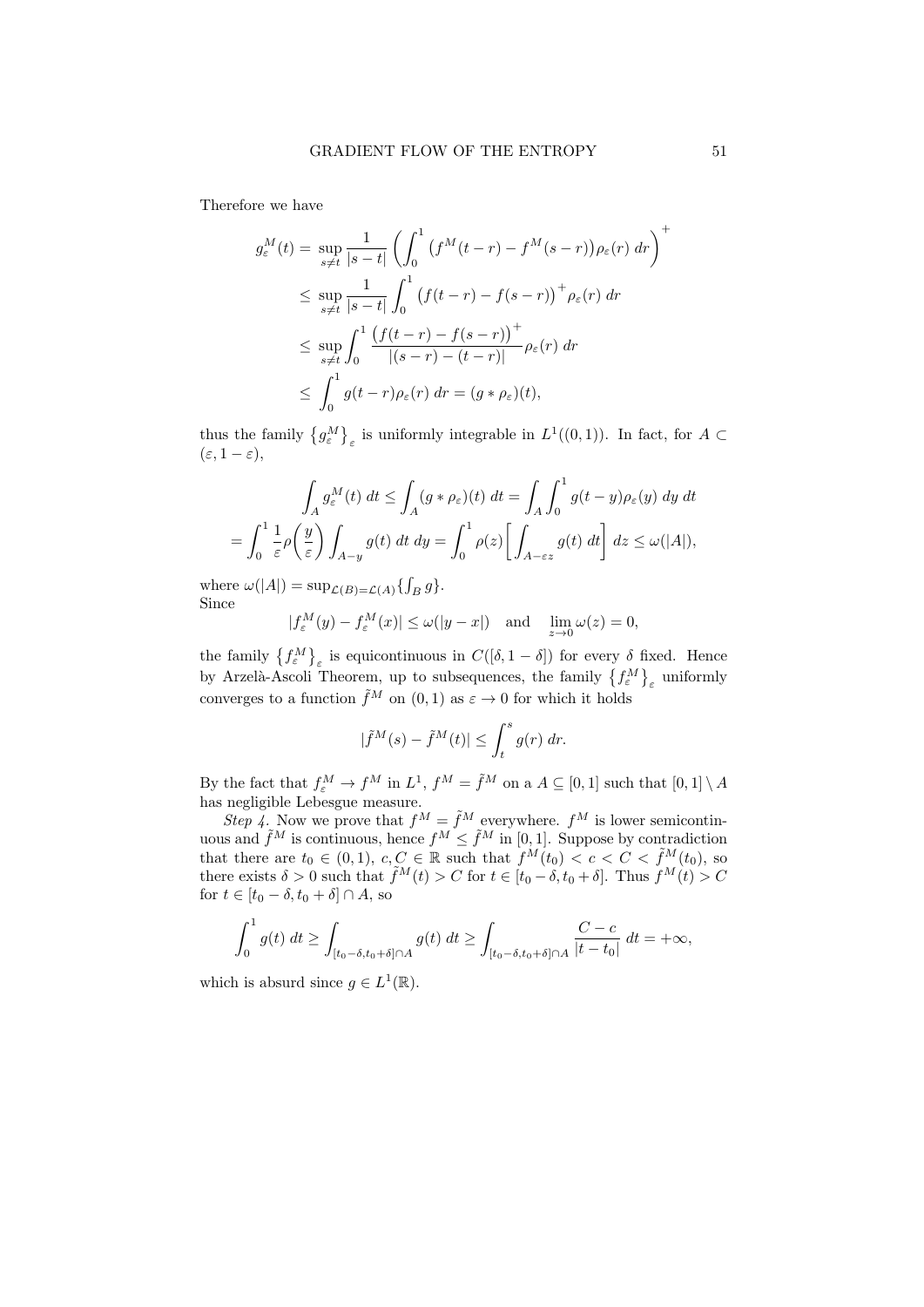Therefore we have

$$
g_{\varepsilon}^{M}(t) = \sup_{s \neq t} \frac{1}{|s - t|} \left( \int_{0}^{1} (f^{M}(t - r) - f^{M}(s - r)) \rho_{\varepsilon}(r) dr \right)^{+}
$$
  
\n
$$
\leq \sup_{s \neq t} \frac{1}{|s - t|} \int_{0}^{1} (f(t - r) - f(s - r))^{+} \rho_{\varepsilon}(r) dr
$$
  
\n
$$
\leq \sup_{s \neq t} \int_{0}^{1} \frac{(f(t - r) - f(s - r))^{+}}{|(s - r) - (t - r)|} \rho_{\varepsilon}(r) dr
$$
  
\n
$$
\leq \int_{0}^{1} g(t - r) \rho_{\varepsilon}(r) dr = (g * \rho_{\varepsilon})(t),
$$

thus the family  $\{g_{\varepsilon}^M\}_{\varepsilon}$  is uniformly integrable in  $L^1((0,1))$ . In fact, for  $A \subset$  $(\varepsilon, 1-\varepsilon),$ 

$$
\int_A g_{\varepsilon}^M(t) dt \le \int_A (g * \rho_{\varepsilon})(t) dt = \int_A \int_0^1 g(t - y) \rho_{\varepsilon}(y) dy dt
$$
  
= 
$$
\int_0^1 \frac{1}{\varepsilon} \rho \left(\frac{y}{\varepsilon}\right) \int_{A-y} g(t) dt dy = \int_0^1 \rho(z) \left[ \int_{A-\varepsilon z} g(t) dt \right] dz \le \omega(|A|),
$$

where  $\omega(|A|) = \sup_{\mathcal{L}(B) = \mathcal{L}(A)} \{ \int_B g \}.$ Since

$$
|f_{\varepsilon}^{M}(y) - f_{\varepsilon}^{M}(x)| \le \omega(|y - x|) \quad \text{and} \quad \lim_{z \to 0} \omega(z) = 0,
$$

the family  $\{f_{\varepsilon}^M\}_{\varepsilon}$  is equicontinuous in  $C([\delta, 1-\delta])$  for every  $\delta$  fixed. Hence by Arzelà-Ascoli Theorem, up to subsequences, the family  $\{f_{\varepsilon}^M\}_{\varepsilon}$  uniformly converges to a function  $\tilde{f}^M$  on  $(0, 1)$  as  $\varepsilon \to 0$  for which it holds

$$
|\tilde{f}^M(s) - \tilde{f}^M(t)| \le \int_t^s g(r) \ dr.
$$

By the fact that  $f_{\varepsilon}^M \to f^M$  in  $L^1$ ,  $f^M = \tilde{f}^M$  on a  $A \subseteq [0,1]$  such that  $[0,1] \setminus A$ has negligible Lebesgue measure.

Step 4. Now we prove that  $f^M = \tilde{f}^M$  everywhere.  $f^M$  is lower semicontinuous and  $\tilde{f}^M$  is continuous, hence  $f^M \leq \tilde{f}^M$  in [0, 1]. Suppose by contradiction that there are  $t_0 \in (0,1)$ ,  $c, C \in \mathbb{R}$  such that  $f^M(t_0) < c < C < \tilde{f}^M(t_0)$ , so there exists  $\delta > 0$  such that  $\tilde{f}^M(t) > C$  for  $t \in [t_0 - \delta, t_0 + \delta]$ . Thus  $f^M(t) > C$ for  $t \in [t_0 - \delta, t_0 + \delta] \cap A$ , so

$$
\int_0^1 g(t) dt \ge \int_{[t_0-\delta, t_0+\delta]\cap A} g(t) dt \ge \int_{[t_0-\delta, t_0+\delta]\cap A} \frac{C-c}{|t-t_0|} dt = +\infty,
$$

which is absurd since  $g \in L^1(\mathbb{R})$ .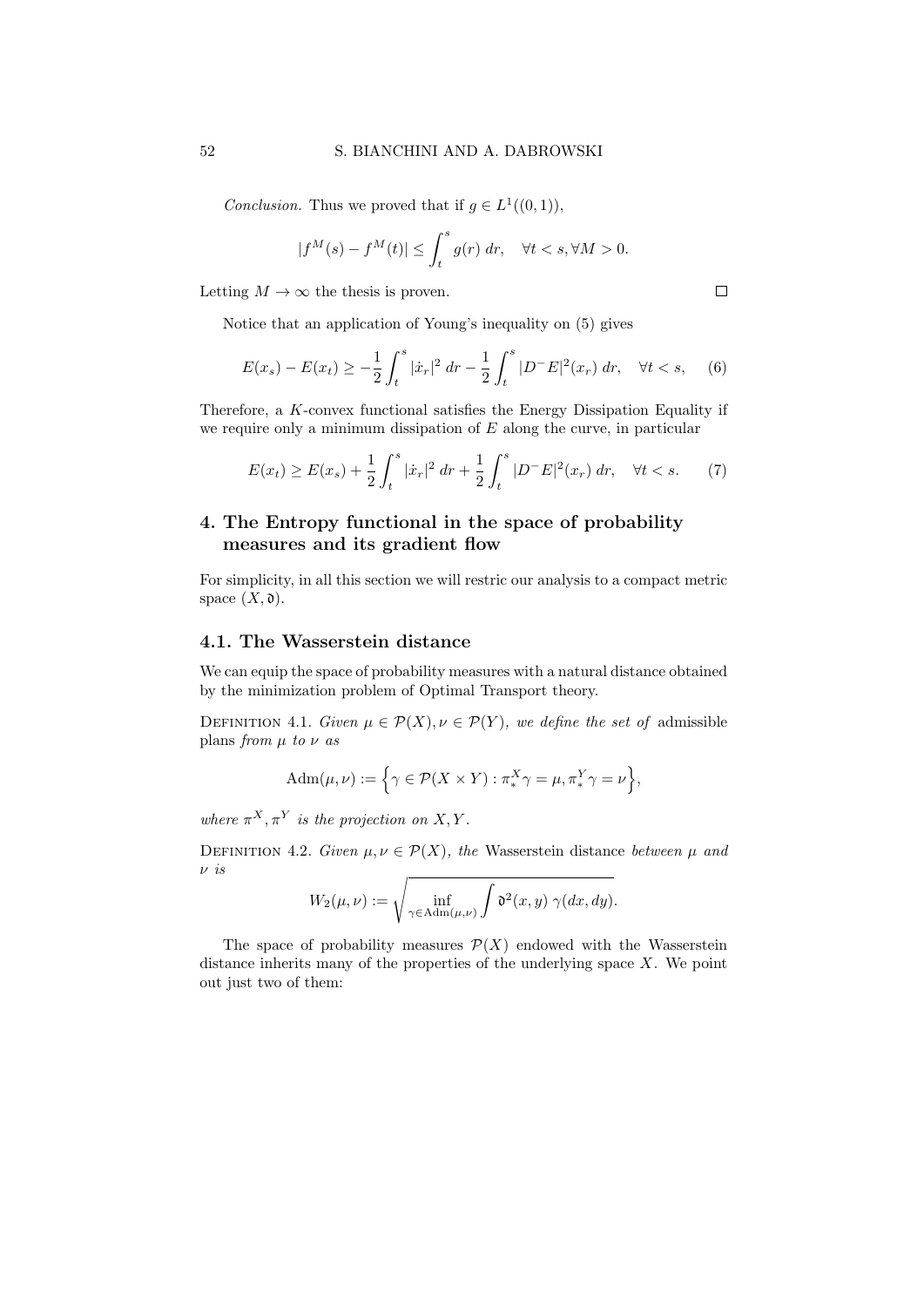*Conclusion*. Thus we proved that if  $g \in L^1((0,1)),$ 

$$
|f^M(s) - f^M(t)| \le \int_t^s g(r) \, dr, \quad \forall t < s, \forall M > 0.
$$

Letting  $M \to \infty$  the thesis is proven.

Notice that an application of Young's inequality on (5) gives

$$
E(x_s) - E(x_t) \ge -\frac{1}{2} \int_t^s |\dot{x}_r|^2 \, dr - \frac{1}{2} \int_t^s |D^-E|^2(x_r) \, dr, \quad \forall t < s,\tag{6}
$$

Therefore, a K-convex functional satisfies the Energy Dissipation Equality if we require only a minimum dissipation of  $E$  along the curve, in particular

$$
E(x_t) \ge E(x_s) + \frac{1}{2} \int_t^s |\dot{x}_r|^2 \, dr + \frac{1}{2} \int_t^s |D^-E|^2(x_r) \, dr, \quad \forall t < s. \tag{7}
$$

# 4. The Entropy functional in the space of probability measures and its gradient flow

For simplicity, in all this section we will restric our analysis to a compact metric space  $(X, \mathfrak{d})$ .

# 4.1. The Wasserstein distance

We can equip the space of probability measures with a natural distance obtained by the minimization problem of Optimal Transport theory.

DEFINITION 4.1. Given  $\mu \in \mathcal{P}(X), \nu \in \mathcal{P}(Y)$ , we define the set of admissible plans from  $\mu$  to  $\nu$  as

$$
Adm(\mu, \nu) := \left\{ \gamma \in \mathcal{P}(X \times Y) : \pi_*^X \gamma = \mu, \pi_*^Y \gamma = \nu \right\},\
$$

where  $\pi^X, \pi^Y$  is the projection on X, Y.

DEFINITION 4.2. Given  $\mu, \nu \in \mathcal{P}(X)$ , the Wasserstein distance between  $\mu$  and ν is

$$
W_2(\mu,\nu) := \sqrt{\inf_{\gamma \in \text{Adm}(\mu,\nu)} \int \mathfrak{d}^2(x,y) \ \gamma(dx,dy)}.
$$

The space of probability measures  $\mathcal{P}(X)$  endowed with the Wasserstein distance inherits many of the properties of the underlying space  $X$ . We point out just two of them: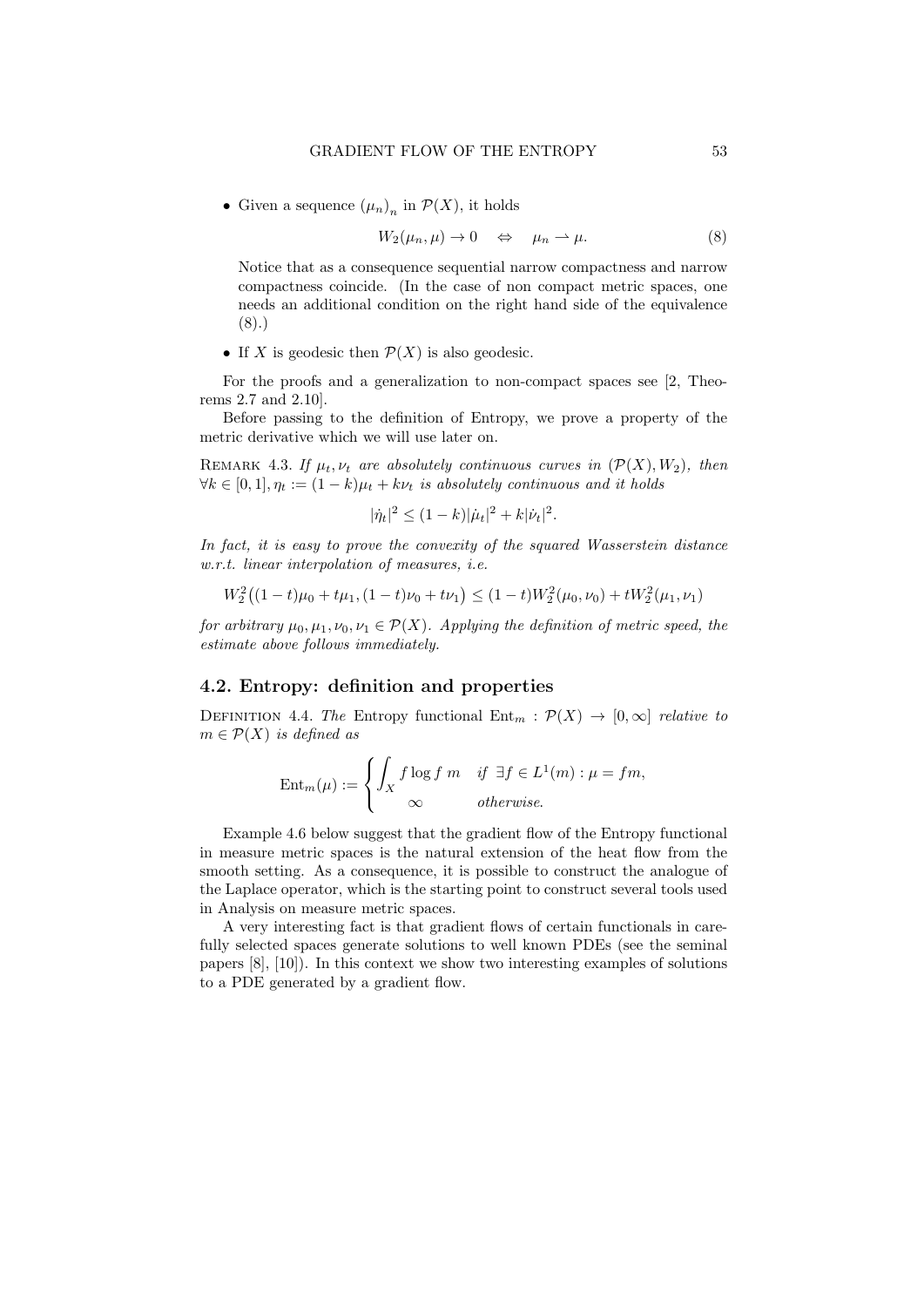• Given a sequence  $(\mu_n)_n$  in  $\mathcal{P}(X)$ , it holds

$$
W_2(\mu_n, \mu) \to 0 \quad \Leftrightarrow \quad \mu_n \to \mu. \tag{8}
$$

Notice that as a consequence sequential narrow compactness and narrow compactness coincide. (In the case of non compact metric spaces, one needs an additional condition on the right hand side of the equivalence (8).)

• If X is geodesic then  $\mathcal{P}(X)$  is also geodesic.

For the proofs and a generalization to non-compact spaces see [2, Theorems 2.7 and 2.10].

Before passing to the definition of Entropy, we prove a property of the metric derivative which we will use later on.

REMARK 4.3. If  $\mu_t, \nu_t$  are absolutely continuous curves in  $(\mathcal{P}(X), W_2)$ , then  $\forall k \in [0, 1], \eta_t := (1 - k)\mu_t + k\nu_t$  is absolutely continuous and it holds

$$
|\dot{\eta}_t|^2 \le (1-k)|\dot{\mu}_t|^2 + k|\dot{\nu}_t|^2.
$$

In fact, it is easy to prove the convexity of the squared Wasserstein distance w.r.t. linear interpolation of measures, i.e.

$$
W_2^2((1-t)\mu_0 + t\mu_1, (1-t)\nu_0 + t\nu_1) \le (1-t)W_2^2(\mu_0, \nu_0) + tW_2^2(\mu_1, \nu_1)
$$

for arbitrary  $\mu_0, \mu_1, \nu_0, \nu_1 \in \mathcal{P}(X)$ . Applying the definition of metric speed, the estimate above follows immediately.

## 4.2. Entropy: definition and properties

DEFINITION 4.4. The Entropy functional  $Ent_m : \mathcal{P}(X) \to [0,\infty]$  relative to  $m \in \mathcal{P}(X)$  is defined as

$$
\operatorname{Ent}_{m}(\mu) := \begin{cases} \int_{X} f \log f \ m & \text{if } \exists f \in L^{1}(m) : \mu = fm, \\ \infty & \text{otherwise.} \end{cases}
$$

Example 4.6 below suggest that the gradient flow of the Entropy functional in measure metric spaces is the natural extension of the heat flow from the smooth setting. As a consequence, it is possible to construct the analogue of the Laplace operator, which is the starting point to construct several tools used in Analysis on measure metric spaces.

A very interesting fact is that gradient flows of certain functionals in carefully selected spaces generate solutions to well known PDEs (see the seminal papers [8], [10]). In this context we show two interesting examples of solutions to a PDE generated by a gradient flow.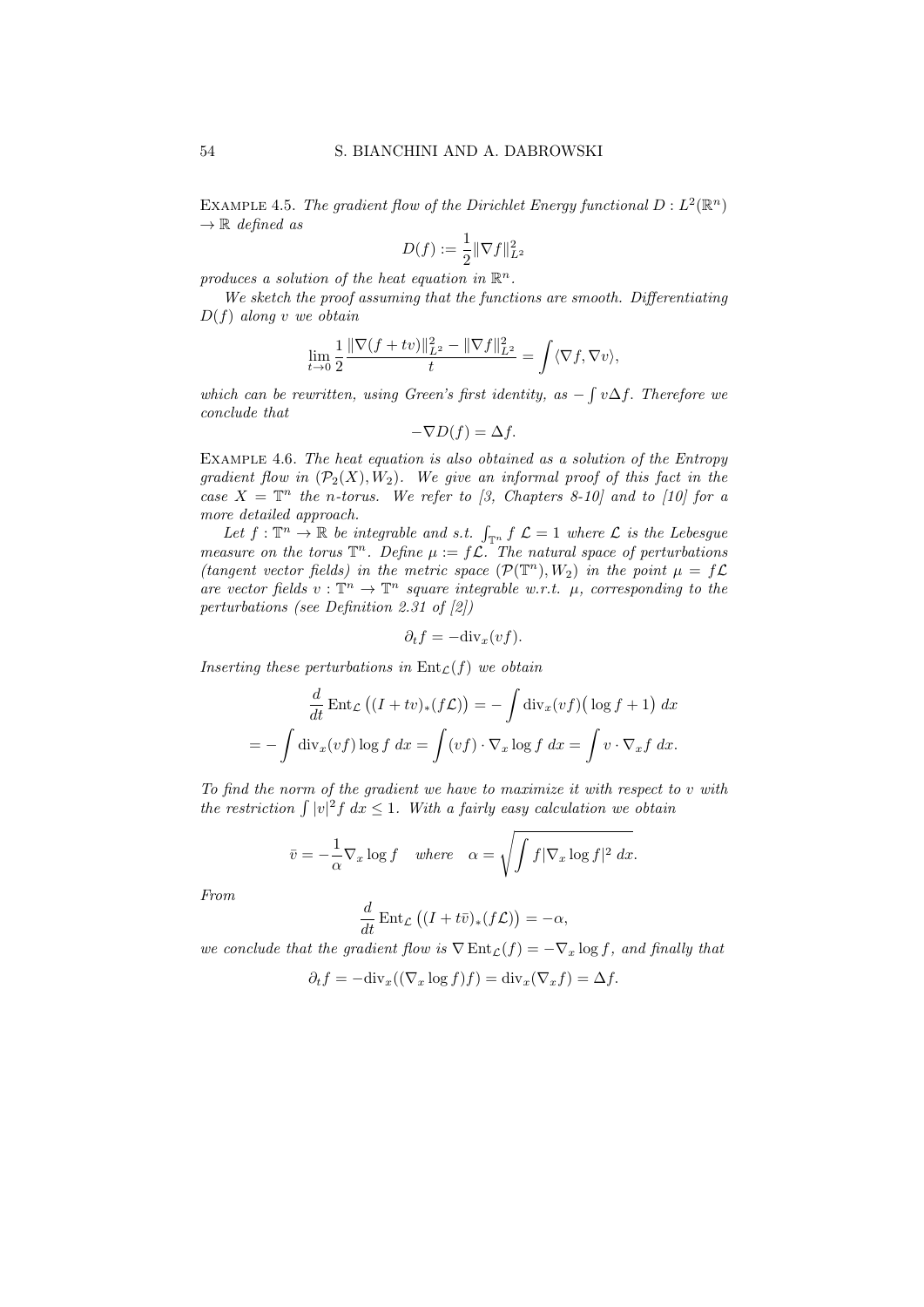EXAMPLE 4.5. The gradient flow of the Dirichlet Energy functional  $D: L^2(\mathbb{R}^n)$  $\rightarrow \mathbb{R}$  defined as

$$
D(f) := \frac{1}{2} \|\nabla f\|_{L^2}^2
$$

produces a solution of the heat equation in  $\mathbb{R}^n$ .

We sketch the proof assuming that the functions are smooth. Differentiating  $D(f)$  along v we obtain

$$
\lim_{t\to 0}\frac{1}{2}\frac{\|\nabla (f+tv)\|_{L^2}^2-\|\nabla f\|_{L^2}^2}{t}=\int\langle \nabla f,\nabla v\rangle,
$$

which can be rewritten, using Green's first identity, as  $-\int v\Delta f$ . Therefore we conclude that

$$
-\nabla D(f) = \Delta f.
$$

Example 4.6. The heat equation is also obtained as a solution of the Entropy gradient flow in  $(\mathcal{P}_2(X), W_2)$ . We give an informal proof of this fact in the case  $X = \mathbb{T}^n$  the n-torus. We refer to [3, Chapters 8-10] and to [10] for a more detailed approach.

Let  $f: \mathbb{T}^n \to \mathbb{R}$  be integrable and s.t.  $\int_{\mathbb{T}^n} f \mathcal{L} = 1$  where  $\mathcal{L}$  is the Lebesgue measure on the torus  $\mathbb{T}^n$ . Define  $\mu := f \mathcal{L}$ . The natural space of perturbations (tangent vector fields) in the metric space  $(\mathcal{P}(\mathbb{T}^n), W_2)$  in the point  $\mu = f\mathcal{L}$ are vector fields  $v : \mathbb{T}^n \to \mathbb{T}^n$  square integrable w.r.t.  $\mu$ , corresponding to the perturbations (see Definition 2.31 of [2])

$$
\partial_t f = -\mathrm{div}_x(vf).
$$

Inserting these perturbations in  $Ent_{\mathcal{L}}(f)$  we obtain

$$
\frac{d}{dt} \operatorname{Ent}_{\mathcal{L}} \left( (I + tv)_*(f\mathcal{L}) \right) = -\int \operatorname{div}_x(vf) \left( \log f + 1 \right) dx
$$
\n
$$
= -\int \operatorname{div}_x(vf) \log f \, dx = \int (vf) \cdot \nabla_x \log f \, dx = \int v \cdot \nabla_x f \, dx.
$$

To find the norm of the gradient we have to maximize it with respect to v with the restriction  $\int |v|^2 f \, dx \leq 1$ . With a fairly easy calculation we obtain

$$
\bar{v} = -\frac{1}{\alpha} \nabla_x \log f \quad where \quad \alpha = \sqrt{\int f |\nabla_x \log f|^2 \, dx}.
$$

From

$$
\frac{d}{dt} \operatorname{Ent}_{\mathcal{L}} \left( (I + t\bar{v})_*(f\mathcal{L}) \right) = -\alpha,
$$

we conclude that the gradient flow is  $\nabla \text{Ent}_{\mathcal{L}}(f) = -\nabla_x \log f$ , and finally that

$$
\partial_t f = -\mathrm{div}_x((\nabla_x \log f)f) = \mathrm{div}_x(\nabla_x f) = \Delta f.
$$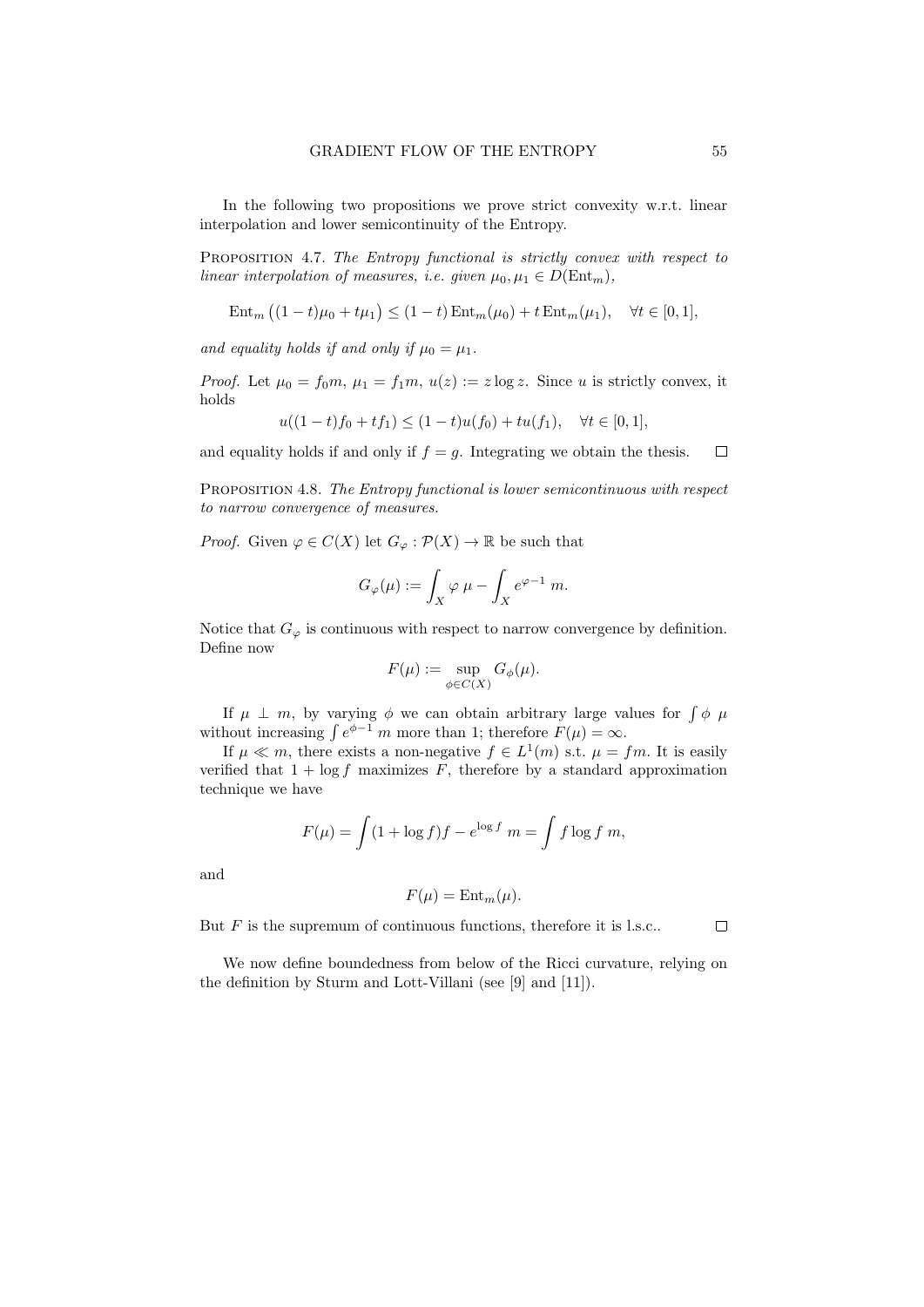In the following two propositions we prove strict convexity w.r.t. linear interpolation and lower semicontinuity of the Entropy.

PROPOSITION 4.7. The Entropy functional is strictly convex with respect to linear interpolation of measures, i.e. given  $\mu_0, \mu_1 \in D(\text{Ent}_m)$ ,

$$
Ent_m ((1-t)\mu_0 + t\mu_1) \le (1-t) Ent_m(\mu_0) + t Ent_m(\mu_1), \quad \forall t \in [0,1],
$$

and equality holds if and only if  $\mu_0 = \mu_1$ .

*Proof.* Let  $\mu_0 = f_0 m$ ,  $\mu_1 = f_1 m$ ,  $u(z) := z \log z$ . Since u is strictly convex, it holds

$$
u((1-t)f_0 + tf_1) \le (1-t)u(f_0) + tu(f_1), \quad \forall t \in [0,1],
$$

and equality holds if and only if  $f = g$ . Integrating we obtain the thesis.  $\Box$ 

PROPOSITION 4.8. The Entropy functional is lower semicontinuous with respect to narrow convergence of measures.

*Proof.* Given  $\varphi \in C(X)$  let  $G_{\varphi} : \mathcal{P}(X) \to \mathbb{R}$  be such that

$$
G_{\varphi}(\mu) := \int_X \varphi \,\mu - \int_X e^{\varphi - 1} \, m.
$$

Notice that  $G_{\varphi}$  is continuous with respect to narrow convergence by definition. Define now

$$
F(\mu) := \sup_{\phi \in C(X)} G_{\phi}(\mu).
$$

If  $\mu \perp m$ , by varying  $\phi$  we can obtain arbitrary large values for  $\int \phi \mu$ without increasing  $\int e^{\phi-1} m$  more than 1; therefore  $F(\mu) = \infty$ .

If  $\mu \ll m$ , there exists a non-negative  $f \in L^1(m)$  s.t.  $\mu = fm$ . It is easily verified that  $1 + \log f$  maximizes F, therefore by a standard approximation technique we have

$$
F(\mu) = \int (1 + \log f) f - e^{\log f} \ m = \int f \log f \ m,
$$

and

$$
F(\mu) = \text{Ent}_{m}(\mu).
$$

But  $F$  is the supremum of continuous functions, therefore it is l.s.c..

We now define boundedness from below of the Ricci curvature, relying on the definition by Sturm and Lott-Villani (see [9] and [11]).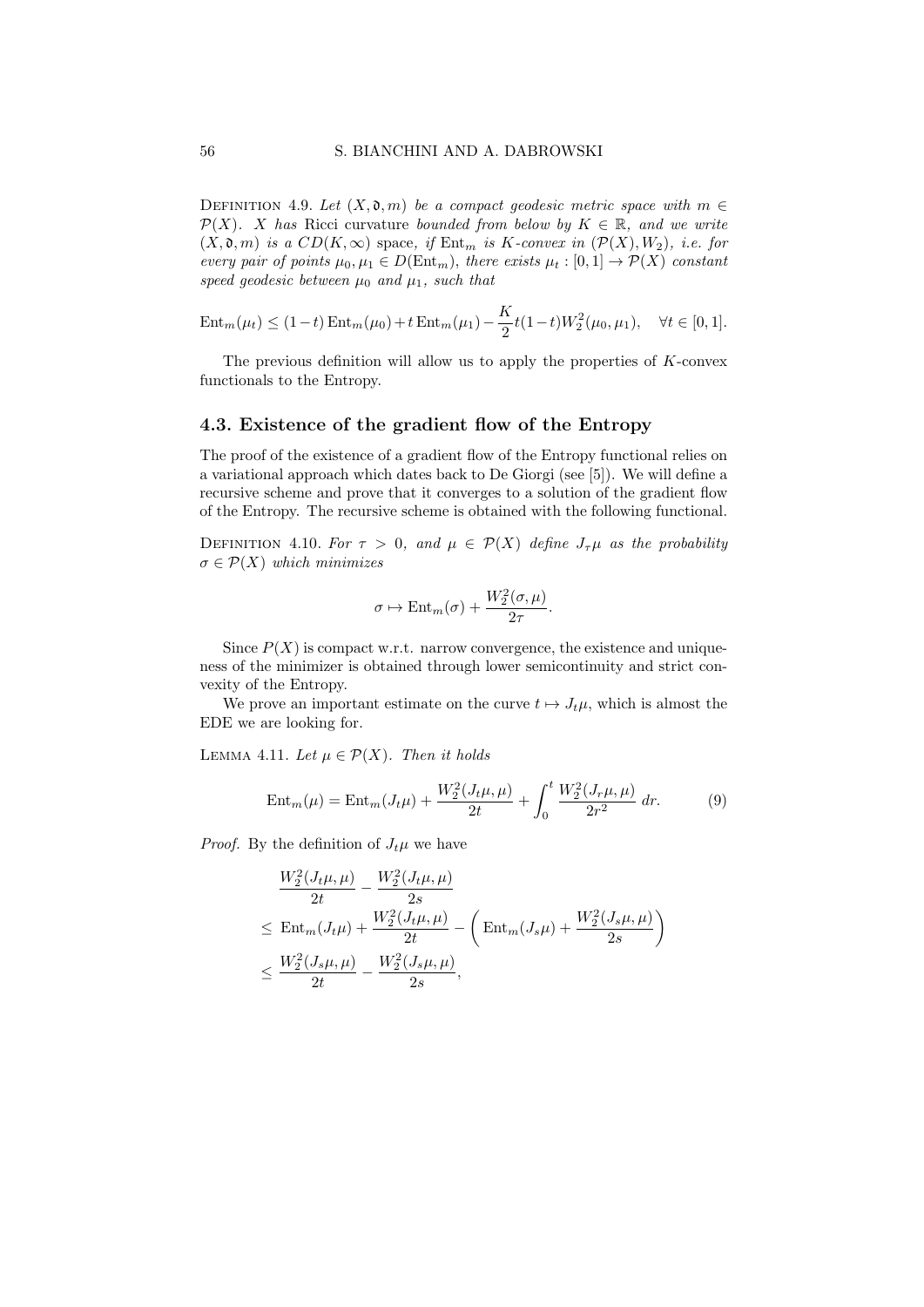DEFINITION 4.9. Let  $(X, \mathfrak{d}, m)$  be a compact geodesic metric space with  $m \in$  $\mathcal{P}(X)$ . X has Ricci curvature bounded from below by  $K \in \mathbb{R}$ , and we write  $(X, \mathfrak{d}, m)$  is a  $CD(K, \infty)$  space, if  $Ent_m$  is K-convex in  $(\mathcal{P}(X), W_2)$ , i.e. for every pair of points  $\mu_0, \mu_1 \in D(\text{Ent}_m)$ , there exists  $\mu_t : [0,1] \to \mathcal{P}(X)$  constant speed geodesic between  $\mu_0$  and  $\mu_1$ , such that

Ent<sub>m</sub>(
$$
\mu_t
$$
)  $\leq (1-t) Ent_m(\mu_0) + t Ent_m(\mu_1) - \frac{K}{2}t(1-t)W_2^2(\mu_0, \mu_1), \quad \forall t \in [0, 1].$ 

The previous definition will allow us to apply the properties of  $K$ -convex functionals to the Entropy.

#### 4.3. Existence of the gradient flow of the Entropy

The proof of the existence of a gradient flow of the Entropy functional relies on a variational approach which dates back to De Giorgi (see [5]). We will define a recursive scheme and prove that it converges to a solution of the gradient flow of the Entropy. The recursive scheme is obtained with the following functional.

DEFINITION 4.10. For  $\tau > 0$ , and  $\mu \in \mathcal{P}(X)$  define  $J_{\tau}\mu$  as the probability  $\sigma \in \mathcal{P}(X)$  which minimizes

$$
\sigma \mapsto \text{Ent}_{m}(\sigma) + \frac{W_2^2(\sigma, \mu)}{2\tau}.
$$

Since  $P(X)$  is compact w.r.t. narrow convergence, the existence and uniqueness of the minimizer is obtained through lower semicontinuity and strict convexity of the Entropy.

We prove an important estimate on the curve  $t \mapsto J_t\mu$ , which is almost the EDE we are looking for.

LEMMA 4.11. Let  $\mu \in \mathcal{P}(X)$ . Then it holds

$$
Ent_m(\mu) = Ent_m(J_t\mu) + \frac{W_2^2(J_t\mu, \mu)}{2t} + \int_0^t \frac{W_2^2(J_r\mu, \mu)}{2r^2} dr.
$$
 (9)

*Proof.* By the definition of  $J_t\mu$  we have

$$
\frac{W_2^2(J_t\mu, \mu)}{2t} - \frac{W_2^2(J_t\mu, \mu)}{2s}
$$
\n
$$
\leq \text{Ent}_{m}(J_t\mu) + \frac{W_2^2(J_t\mu, \mu)}{2t} - \left(\text{Ent}_{m}(J_s\mu) + \frac{W_2^2(J_s\mu, \mu)}{2s}\right)
$$
\n
$$
\leq \frac{W_2^2(J_s\mu, \mu)}{2t} - \frac{W_2^2(J_s\mu, \mu)}{2s},
$$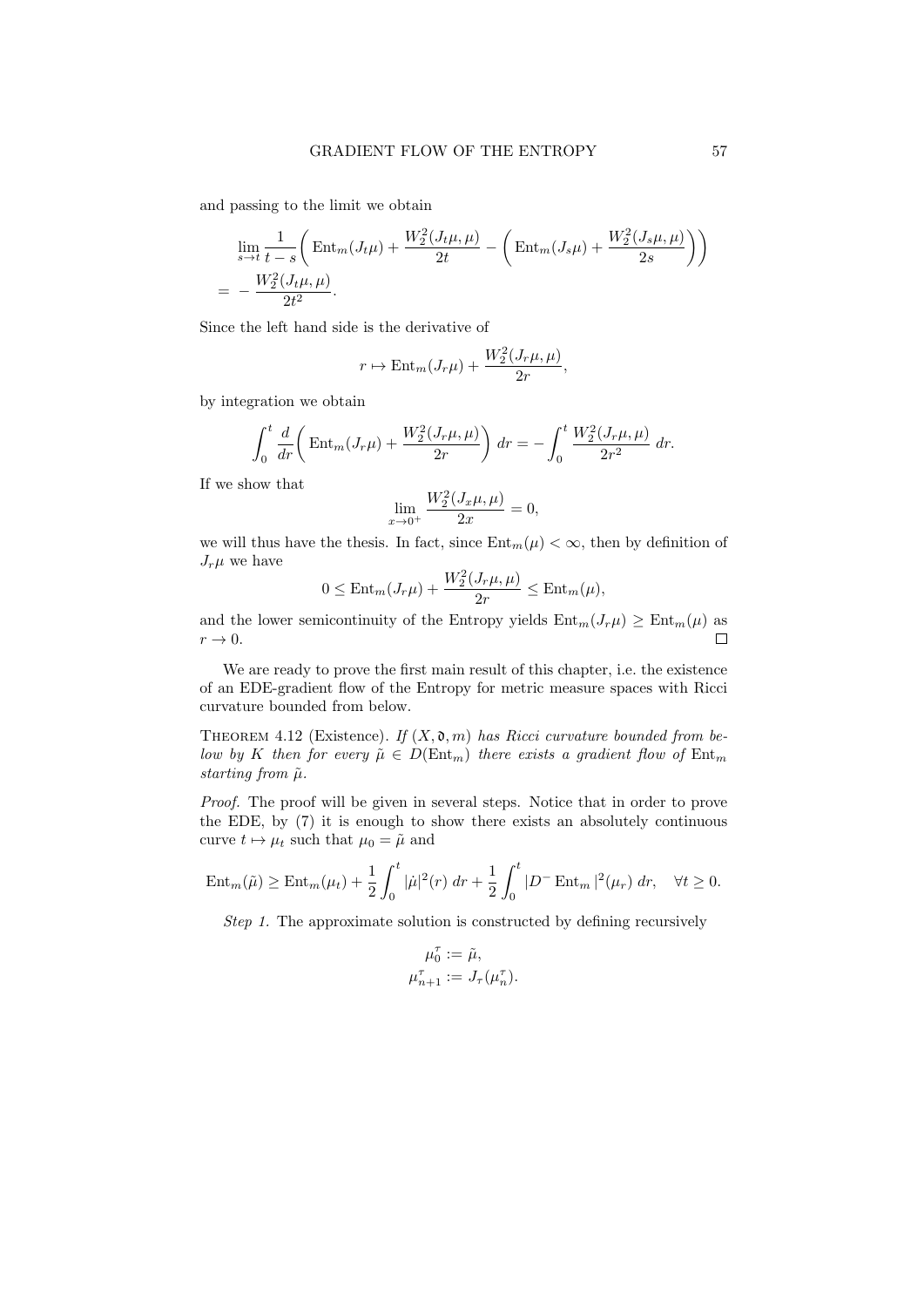and passing to the limit we obtain

$$
\lim_{s \to t} \frac{1}{t - s} \left( \text{Ent}_{m}(J_{t}\mu) + \frac{W_{2}^{2}(J_{t}\mu, \mu)}{2t} - \left( \text{Ent}_{m}(J_{s}\mu) + \frac{W_{2}^{2}(J_{s}\mu, \mu)}{2s} \right) \right)
$$
\n
$$
= -\frac{W_{2}^{2}(J_{t}\mu, \mu)}{2t^{2}}.
$$

Since the left hand side is the derivative of

$$
r \mapsto \text{Ent}_{m}(J_r \mu) + \frac{W_2^2(J_r \mu, \mu)}{2r},
$$

by integration we obtain

$$
\int_0^t \frac{d}{dr} \left( \text{Ent}_m(J_r \mu) + \frac{W_2^2(J_r \mu, \mu)}{2r} \right) dr = - \int_0^t \frac{W_2^2(J_r \mu, \mu)}{2r^2} dr.
$$

If we show that

$$
\lim_{x \to 0^+} \frac{W_2^2(J_x \mu, \mu)}{2x} = 0,
$$

we will thus have the thesis. In fact, since  $\text{Ent}_{m}(\mu) < \infty$ , then by definition of  $J_r\mu$  we have

$$
0 \leq \text{Ent}_{m}(J_r\mu) + \frac{W_2^2(J_r\mu, \mu)}{2r} \leq \text{Ent}_{m}(\mu),
$$

and the lower semicontinuity of the Entropy yields  $\text{Ent}_{m}(J_{r}\mu) \geq \text{Ent}_{m}(\mu)$  as  $r \rightarrow 0$ .  $\Box$ 

We are ready to prove the first main result of this chapter, i.e. the existence of an EDE-gradient flow of the Entropy for metric measure spaces with Ricci curvature bounded from below.

THEOREM 4.12 (Existence). If  $(X, \mathfrak{d}, m)$  has Ricci curvature bounded from below by K then for every  $\tilde{\mu} \in D(\text{Ent}_{m})$  there exists a gradient flow of  $\text{Ent}_{m}$ starting from  $\tilde{\mu}$ .

Proof. The proof will be given in several steps. Notice that in order to prove the EDE, by (7) it is enough to show there exists an absolutely continuous curve  $t \mapsto \mu_t$  such that  $\mu_0 = \tilde{\mu}$  and

$$
\text{Ent}_{m}(\tilde{\mu}) \ge \text{Ent}_{m}(\mu_{t}) + \frac{1}{2} \int_{0}^{t} |\dot{\mu}|^{2}(r) dr + \frac{1}{2} \int_{0}^{t} |D^{-} \text{Ent}_{m}|^{2}(\mu_{r}) dr, \quad \forall t \ge 0.
$$

Step 1. The approximate solution is constructed by defining recursively

$$
\mu_0^{\tau} := \tilde{\mu},
$$
  

$$
\mu_{n+1}^{\tau} := J_{\tau}(\mu_n^{\tau}).
$$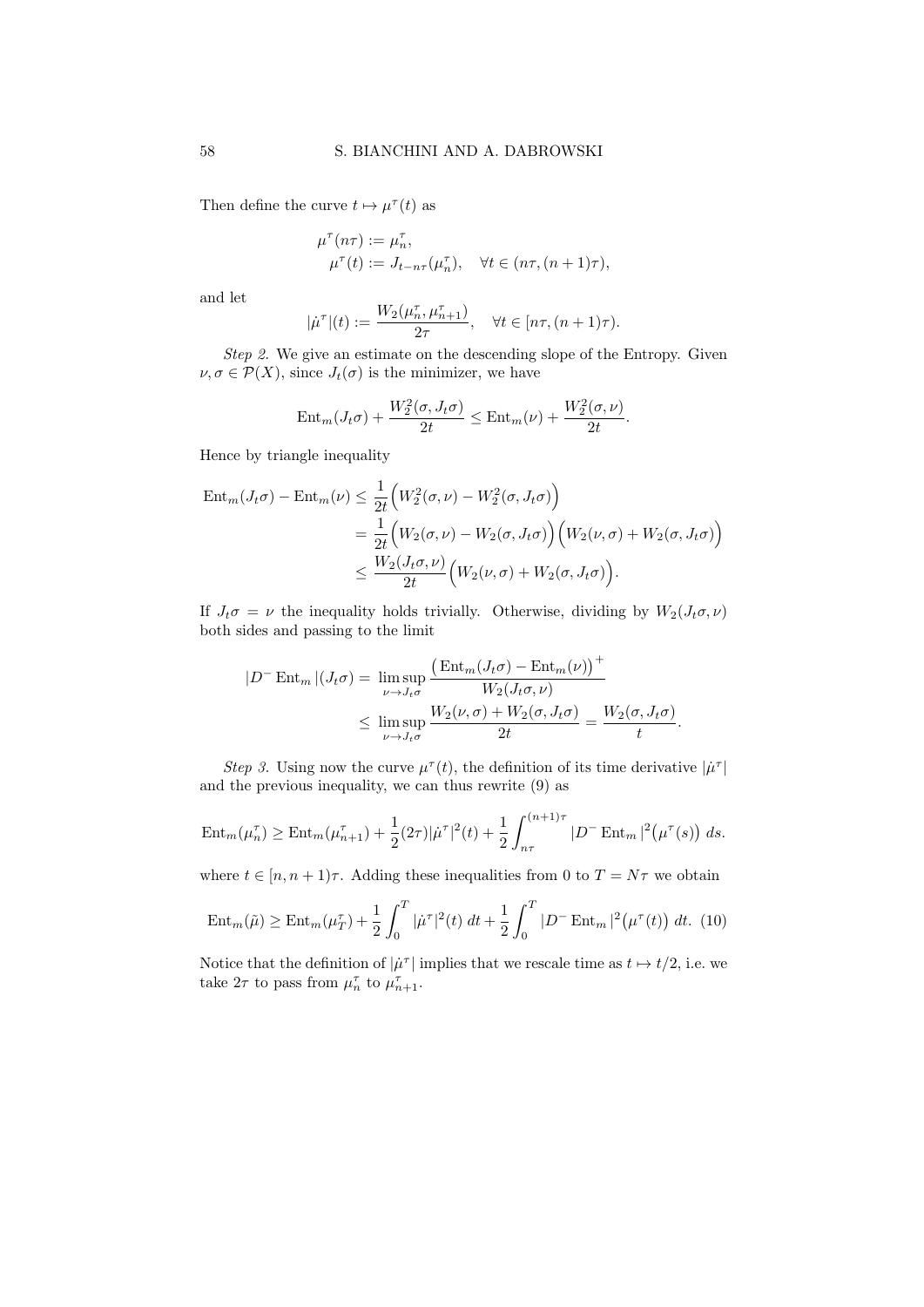Then define the curve  $t \mapsto \mu^{\tau}(t)$  as

$$
\mu^{\tau}(n\tau) := \mu_n^{\tau},
$$
  

$$
\mu^{\tau}(t) := J_{t-n\tau}(\mu_n^{\tau}), \quad \forall t \in (n\tau, (n+1)\tau),
$$

and let

$$
|\dot{\mu}^{\tau}|(t) := \frac{W_2(\mu_n^{\tau}, \mu_{n+1}^{\tau})}{2\tau}, \quad \forall t \in [n\tau, (n+1)\tau).
$$

Step 2. We give an estimate on the descending slope of the Entropy. Given  $\nu, \sigma \in \mathcal{P}(X)$ , since  $J_t(\sigma)$  is the minimizer, we have

$$
\text{Ent}_{m}(J_t\sigma) + \frac{W_2^2(\sigma, J_t\sigma)}{2t} \leq \text{Ent}_{m}(\nu) + \frac{W_2^2(\sigma, \nu)}{2t}.
$$

Hence by triangle inequality

$$
\begin{split} \operatorname{Ent}_{m}(J_{t}\sigma) - \operatorname{Ent}_{m}(\nu) &\leq \frac{1}{2t} \Big( W_{2}^{2}(\sigma,\nu) - W_{2}^{2}(\sigma,J_{t}\sigma) \Big) \\ &= \frac{1}{2t} \Big( W_{2}(\sigma,\nu) - W_{2}(\sigma,J_{t}\sigma) \Big) \Big( W_{2}(\nu,\sigma) + W_{2}(\sigma,J_{t}\sigma) \Big) \\ &\leq \frac{W_{2}(J_{t}\sigma,\nu)}{2t} \Big( W_{2}(\nu,\sigma) + W_{2}(\sigma,J_{t}\sigma) \Big). \end{split}
$$

If  $J_t\sigma = \nu$  the inequality holds trivially. Otherwise, dividing by  $W_2(J_t\sigma, \nu)$ both sides and passing to the limit

$$
|D^{-} \operatorname{Ent}_{m}|(J_{t}\sigma) = \limsup_{\nu \to J_{t}\sigma} \frac{\left(\operatorname{Ent}_{m}(J_{t}\sigma) - \operatorname{Ent}_{m}(\nu)\right)^{+}}{W_{2}(J_{t}\sigma, \nu)}
$$
  
 
$$
\leq \limsup_{\nu \to J_{t}\sigma} \frac{W_{2}(\nu, \sigma) + W_{2}(\sigma, J_{t}\sigma)}{2t} = \frac{W_{2}(\sigma, J_{t}\sigma)}{t}.
$$

Step 3. Using now the curve  $\mu^{\tau}(t)$ , the definition of its time derivative  $|\mu^{\tau}|$ and the previous inequality, we can thus rewrite (9) as

$$
\operatorname{Ent}_{m}(\mu_{n}^{\tau}) \geq \operatorname{Ent}_{m}(\mu_{n+1}^{\tau}) + \frac{1}{2}(2\tau)|\dot{\mu}^{\tau}|^{2}(t) + \frac{1}{2}\int_{n\tau}^{(n+1)\tau} |D^{-} \operatorname{Ent}_{m}|^{2}(\mu^{\tau}(s)) ds.
$$

where  $t \in [n, n+1]\tau$ . Adding these inequalities from 0 to  $T = N\tau$  we obtain

$$
\text{Ent}_{m}(\tilde{\mu}) \ge \text{Ent}_{m}(\mu_{T}^{\tau}) + \frac{1}{2} \int_{0}^{T} |\dot{\mu}^{\tau}|^{2}(t) dt + \frac{1}{2} \int_{0}^{T} |D^{-} \text{Ent}_{m}|^{2} (\mu^{\tau}(t)) dt. (10)
$$

Notice that the definition of  $|\mu^{\tau}|$  implies that we rescale time as  $t \mapsto t/2$ , i.e. we take  $2\tau$  to pass from  $\mu_n^{\tau}$  to  $\mu_{n+1}^{\tau}$ .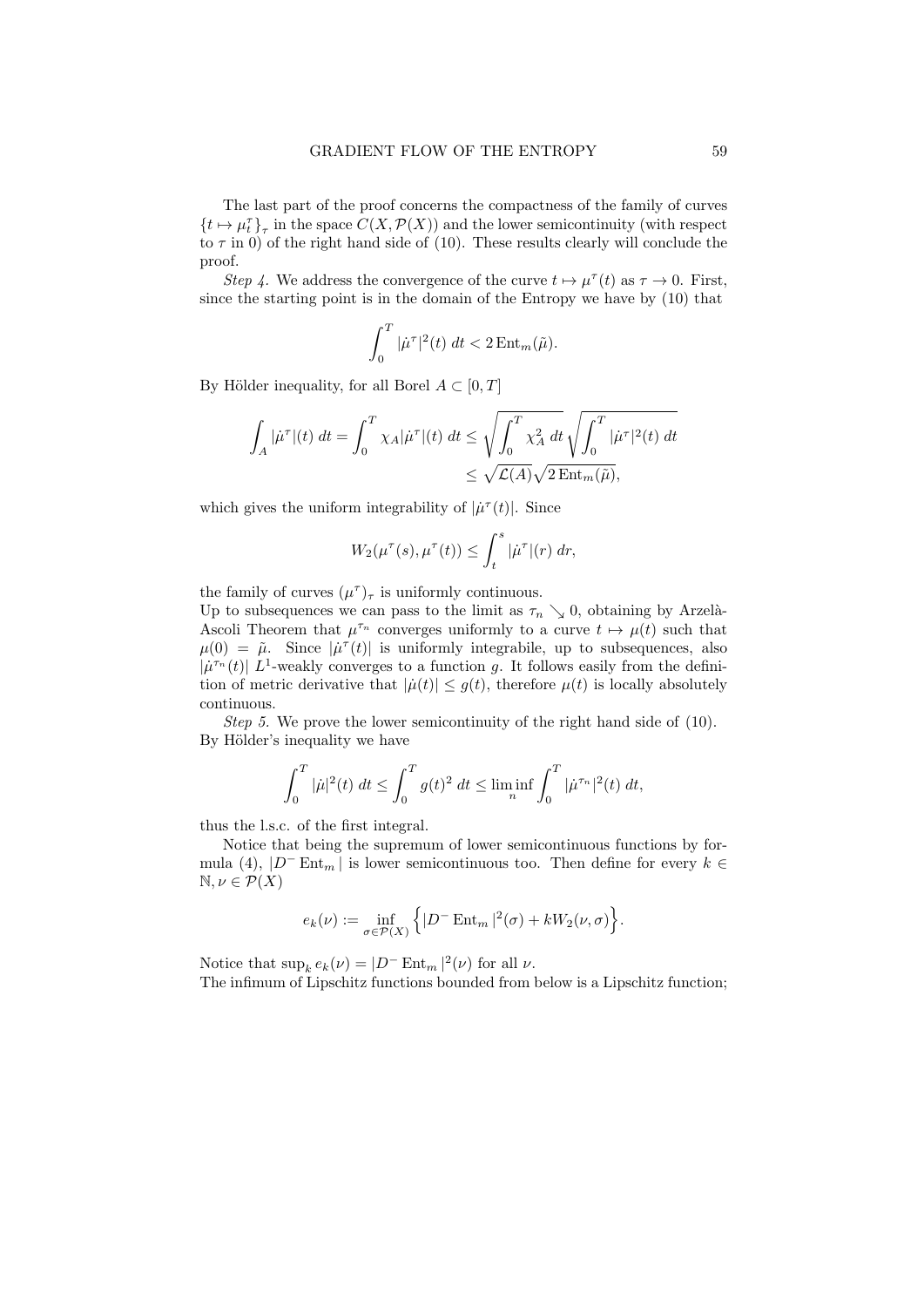The last part of the proof concerns the compactness of the family of curves  $\{t \mapsto \mu^\tau_t\}_\tau$  in the space  $C(X, \mathcal{P}(X))$  and the lower semicontinuity (with respect to  $\tau$  in 0) of the right hand side of (10). These results clearly will conclude the proof.

Step 4. We address the convergence of the curve  $t \mapsto \mu^{\tau}(t)$  as  $\tau \to 0$ . First, since the starting point is in the domain of the Entropy we have by (10) that

$$
\int_0^T |\dot{\mu}^\tau|^2(t) dt < 2 \operatorname{Ent}_m(\tilde{\mu}).
$$

By Hölder inequality, for all Borel  $A \subset [0, T]$ 

$$
\int_A |\dot{\mu}^\tau|(t) \; dt = \int_0^T \chi_A |\dot{\mu}^\tau|(t) \; dt \le \sqrt{\int_0^T \chi_A^2 \; dt} \sqrt{\int_0^T |\dot{\mu}^\tau|^2(t) \; dt}
$$
  

$$
\le \sqrt{\mathcal{L}(A)} \sqrt{2 \operatorname{Ent}_m(\tilde{\mu})},
$$

which gives the uniform integrability of  $|\dot{\mu}^{\tau}(t)|$ . Since

$$
W_2(\mu^{\tau}(s), \mu^{\tau}(t)) \leq \int_t^s |\dot{\mu}^{\tau}|(r) dr,
$$

the family of curves  $(\mu^{\tau})_{\tau}$  is uniformly continuous.

Up to subsequences we can pass to the limit as  $\tau_n \searrow 0$ , obtaining by Arzelà-Ascoli Theorem that  $\mu^{\tau_n}$  converges uniformly to a curve  $t \mapsto \mu(t)$  such that  $\mu(0) = \tilde{\mu}$ . Since  $|\mu^{\tau}(t)|$  is uniformly integrabile, up to subsequences, also  $|\mu^{\tau_n}(t)| L^1$ -weakly converges to a function g. It follows easily from the definition of metric derivative that  $|\dot{\mu}(t)| \leq g(t)$ , therefore  $\mu(t)$  is locally absolutely continuous.

Step 5. We prove the lower semicontinuity of the right hand side of (10). By Hölder's inequality we have

$$
\int_0^T |\dot{\mu}|^2(t) dt \le \int_0^T g(t)^2 dt \le \liminf_n \int_0^T |\dot{\mu}^{\tau_n}|^2(t) dt,
$$

thus the l.s.c. of the first integral.

Notice that being the supremum of lower semicontinuous functions by formula (4),  $|D^-\text{Ent}_m|$  is lower semicontinuous too. Then define for every  $k \in$  $\mathbb{N}, \nu \in \mathcal{P}(X)$ 

$$
e_k(\nu) := \inf_{\sigma \in \mathcal{P}(X)} \left\{ |D^- \operatorname{Ent}_{m}|^2(\sigma) + kW_2(\nu, \sigma) \right\}.
$$

Notice that  $\sup_k e_k(\nu) = |D^- \text{Ent}_{m}|^2(\nu)$  for all  $\nu$ . The infimum of Lipschitz functions bounded from below is a Lipschitz function;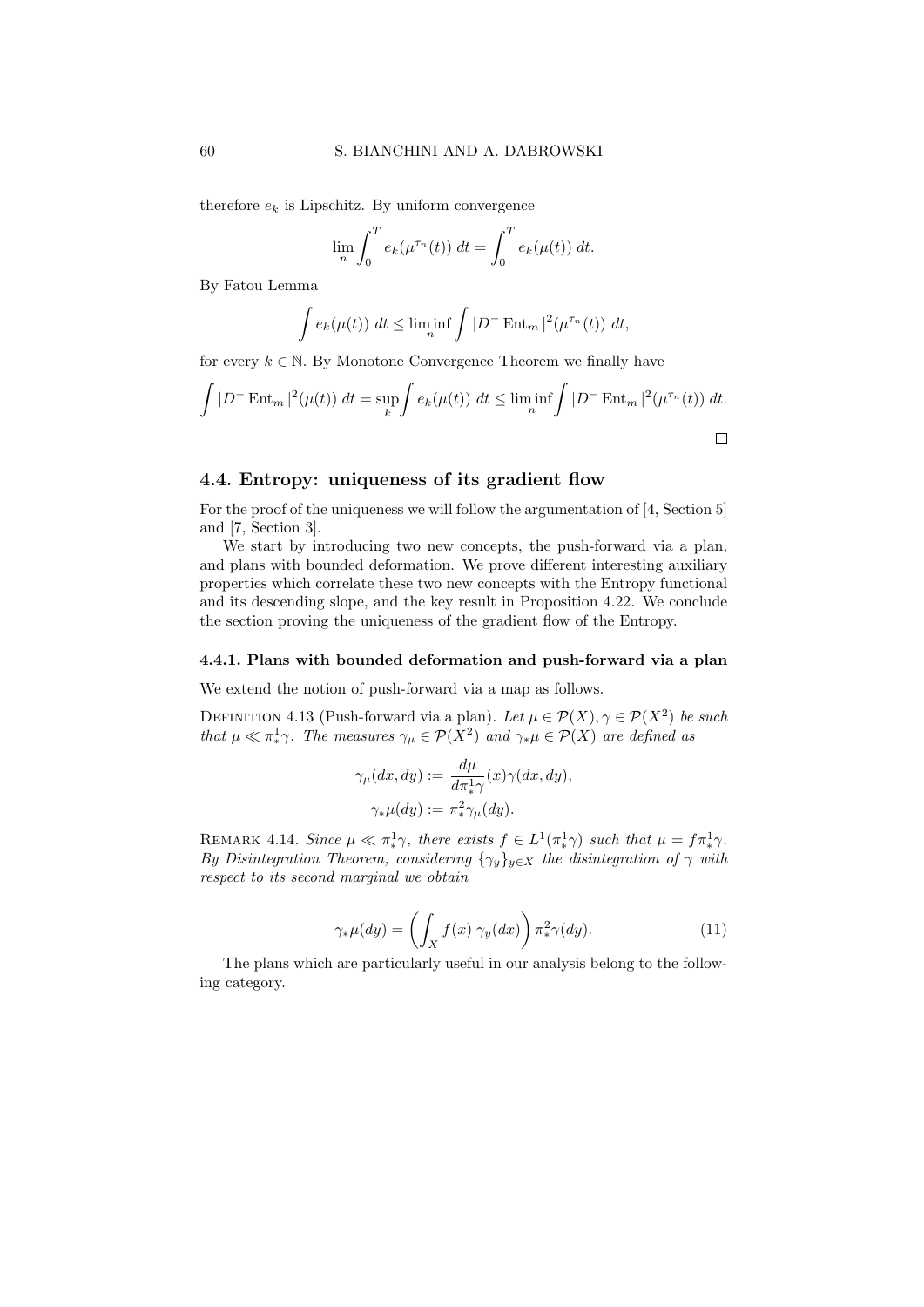therefore  $e_k$  is Lipschitz. By uniform convergence

$$
\lim_{n} \int_0^T e_k(\mu^{\tau_n}(t)) dt = \int_0^T e_k(\mu(t)) dt.
$$

By Fatou Lemma

$$
\int e_k(\mu(t)) dt \le \liminf_n \int |D^- \operatorname{Ent}_m|^2(\mu^{\tau_n}(t)) dt,
$$

for every  $k \in \mathbb{N}$ . By Monotone Convergence Theorem we finally have

$$
\int |D^- \operatorname{Ent}_{m}|^2(\mu(t)) dt = \sup_k \int e_k(\mu(t)) dt \le \liminf_n \int |D^- \operatorname{Ent}_{m}|^2(\mu^{\tau_n}(t)) dt.
$$

#### 4.4. Entropy: uniqueness of its gradient flow

For the proof of the uniqueness we will follow the argumentation of [4, Section 5] and [7, Section 3].

We start by introducing two new concepts, the push-forward via a plan, and plans with bounded deformation. We prove different interesting auxiliary properties which correlate these two new concepts with the Entropy functional and its descending slope, and the key result in Proposition 4.22. We conclude the section proving the uniqueness of the gradient flow of the Entropy.

#### 4.4.1. Plans with bounded deformation and push-forward via a plan

We extend the notion of push-forward via a map as follows.

DEFINITION 4.13 (Push-forward via a plan). Let  $\mu \in \mathcal{P}(X)$ ,  $\gamma \in \mathcal{P}(X^2)$  be such that  $\mu \ll \pi^1$ γ. The measures  $\gamma_{\mu} \in \mathcal{P}(X^2)$  and  $\gamma_{\ast} \mu \in \mathcal{P}(X)$  are defined as

$$
\gamma_{\mu}(dx, dy) := \frac{d\mu}{d\pi_{\ast}^{1}\gamma}(x)\gamma(dx, dy),
$$
  

$$
\gamma_{\ast}\mu(dy) := \pi_{\ast}^{2}\gamma_{\mu}(dy).
$$

REMARK 4.14. Since  $\mu \ll \pi^1_* \gamma$ , there exists  $f \in L^1(\pi^1_* \gamma)$  such that  $\mu = f \pi^1_* \gamma$ . By Disintegration Theorem, considering  $\{\gamma_y\}_{y\in X}$  the disintegration of  $\gamma$  with respect to its second marginal we obtain

$$
\gamma_* \mu(dy) = \left( \int_X f(x) \ \gamma_y(dx) \right) \pi_*^2 \gamma(dy). \tag{11}
$$

The plans which are particularly useful in our analysis belong to the following category.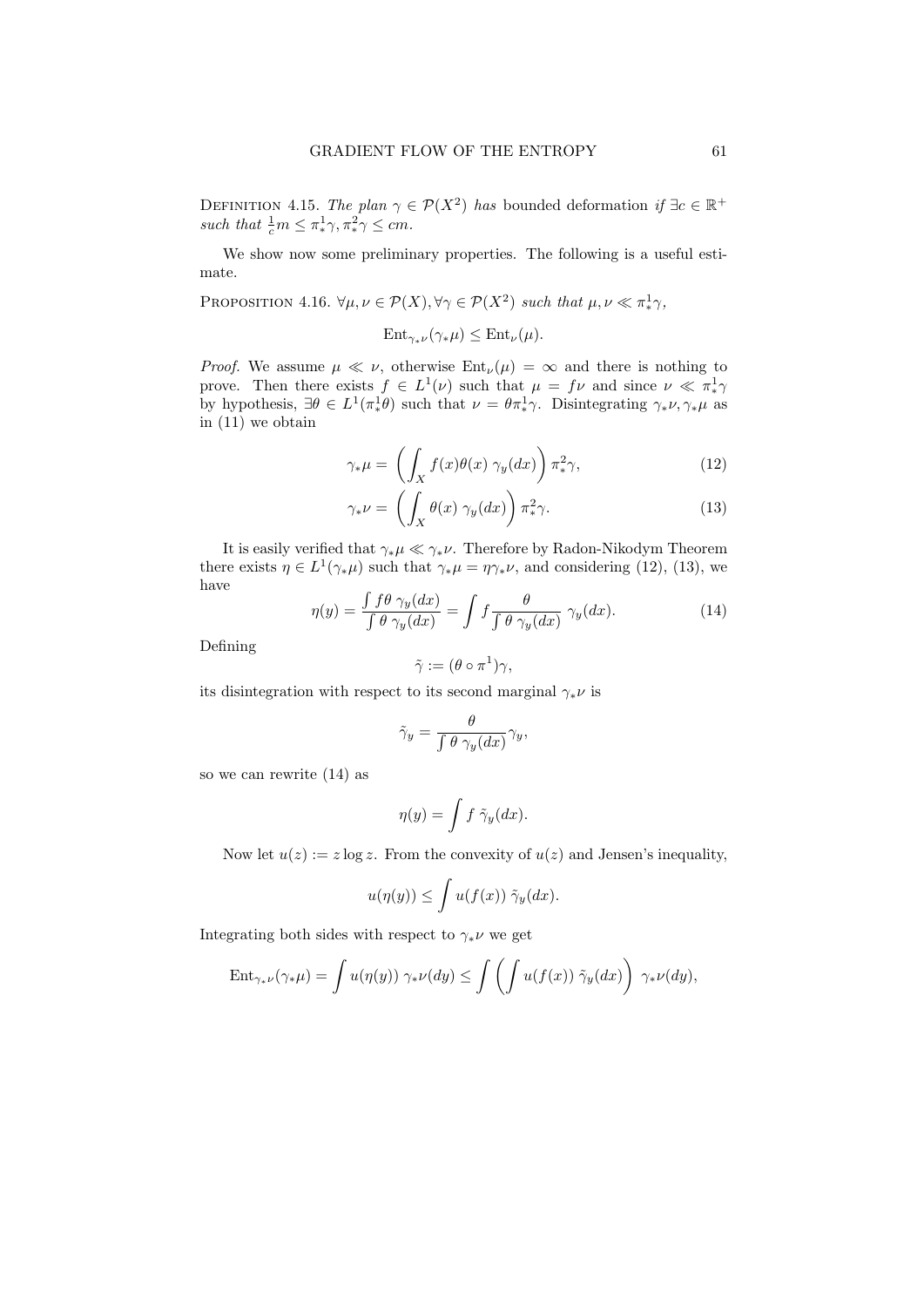DEFINITION 4.15. The plan  $\gamma \in \mathcal{P}(X^2)$  has bounded deformation if  $\exists c \in \mathbb{R}^+$ such that  $\frac{1}{c}m \leq \pi_*^1 \gamma, \pi_*^2 \gamma \leq cm$ .

We show now some preliminary properties. The following is a useful estimate.

PROPOSITION 4.16.  $\forall \mu, \nu \in \mathcal{P}(X), \forall \gamma \in \mathcal{P}(X^2)$  such that  $\mu, \nu \ll \pi_*^1 \gamma$ ,

$$
\text{Ent}_{\gamma_*\nu}(\gamma_*\mu) \le \text{Ent}_{\nu}(\mu).
$$

*Proof.* We assume  $\mu \ll \nu$ , otherwise  $Ent_{\nu}(\mu) = \infty$  and there is nothing to prove. Then there exists  $f \in L^1(\nu)$  such that  $\mu = f\nu$  and since  $\nu \ll \pi^1$ by hypothesis,  $\exists \theta \in L^1(\pi^1_* \theta)$  such that  $\nu = \theta \pi^1_* \gamma$ . Disintegrating  $\gamma_* \nu, \gamma_* \mu$  as in (11) we obtain

$$
\gamma_* \mu = \left( \int_X f(x) \theta(x) \gamma_y(dx) \right) \pi_*^2 \gamma, \tag{12}
$$

$$
\gamma_* \nu = \left( \int_X \theta(x) \, \gamma_y(dx) \right) \pi_*^2 \gamma. \tag{13}
$$

It is easily verified that  $\gamma_*\mu \ll \gamma_*\nu$ . Therefore by Radon-Nikodym Theorem there exists  $\eta \in L^1(\gamma_*\mu)$  such that  $\gamma_*\mu = \eta \gamma_*\nu$ , and considering (12), (13), we have

$$
\eta(y) = \frac{\int f\theta \ \gamma_y(dx)}{\int \theta \ \gamma_y(dx)} = \int f \frac{\theta}{\int \theta \ \gamma_y(dx)} \ \gamma_y(dx). \tag{14}
$$

Defining

$$
\tilde{\gamma} := (\theta \circ \pi^1)\gamma,
$$

its disintegration with respect to its second marginal  $\gamma_* \nu$  is

$$
\tilde{\gamma}_y = \frac{\theta}{\int \theta \ \gamma_y(dx)} \gamma_y,
$$

so we can rewrite (14) as

$$
\eta(y) = \int f \,\tilde{\gamma}_y(dx).
$$

Now let  $u(z) := z \log z$ . From the convexity of  $u(z)$  and Jensen's inequality,

$$
u(\eta(y)) \le \int u(f(x)) \tilde{\gamma}_y(dx).
$$

Integrating both sides with respect to  $\gamma_* \nu$  we get

$$
\operatorname{Ent}_{\gamma_*\nu}(\gamma_*\mu) = \int u(\eta(y)) \ \gamma_*\nu(dy) \le \int \left( \int u(f(x)) \ \tilde{\gamma}_y(dx) \right) \ \gamma_*\nu(dy),
$$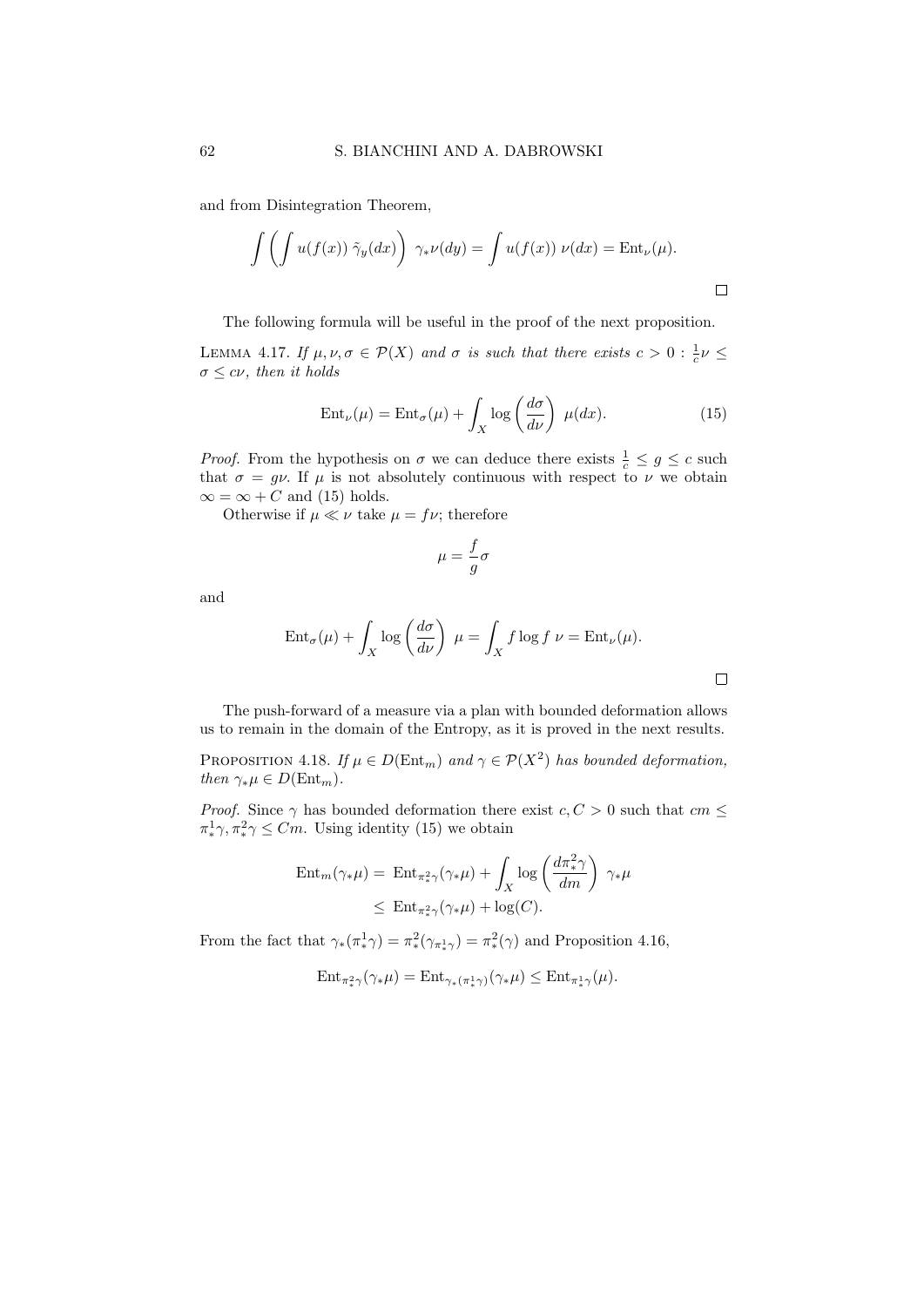and from Disintegration Theorem,

$$
\int \left( \int u(f(x)) \tilde{\gamma}_y(dx) \right) \gamma_* \nu(dy) = \int u(f(x)) \nu(dx) = \text{Ent}_{\nu}(\mu).
$$

The following formula will be useful in the proof of the next proposition.

LEMMA 4.17. If  $\mu, \nu, \sigma \in \mathcal{P}(X)$  and  $\sigma$  is such that there exists  $c > 0 : \frac{1}{c} \nu \leq$  $\sigma \leq c\nu$ , then it holds

$$
Ent_{\nu}(\mu) = Ent_{\sigma}(\mu) + \int_{X} \log\left(\frac{d\sigma}{d\nu}\right) \mu(dx).
$$
 (15)

*Proof.* From the hypothesis on  $\sigma$  we can deduce there exists  $\frac{1}{c} \leq g \leq c$  such that  $\sigma = g\nu$ . If  $\mu$  is not absolutely continuous with respect to  $\nu$  we obtain  $\infty = \infty + C$  and (15) holds.

Otherwise if  $\mu \ll \nu$  take  $\mu = f\nu$ ; therefore

$$
\mu = \frac{f}{g}\sigma
$$

and

$$
\operatorname{Ent}_{\sigma}(\mu) + \int_{X} \log \left( \frac{d\sigma}{d\nu} \right) \mu = \int_{X} f \log f \nu = \operatorname{Ent}_{\nu}(\mu).
$$

The push-forward of a measure via a plan with bounded deformation allows us to remain in the domain of the Entropy, as it is proved in the next results.

PROPOSITION 4.18. If  $\mu \in D(\text{Ent}_{m})$  and  $\gamma \in \mathcal{P}(X^2)$  has bounded deformation, then  $\gamma_*\mu \in D(\text{Ent}_m)$ .

*Proof.* Since  $\gamma$  has bounded deformation there exist  $c, C > 0$  such that  $cm \leq$  $\pi^1_*\gamma, \pi^2_*\gamma \leq Cm$ . Using identity (15) we obtain

$$
\operatorname{Ent}_{m}(\gamma_{*}\mu) = \operatorname{Ent}_{\pi_{*}^{2}\gamma}(\gamma_{*}\mu) + \int_{X} \log\left(\frac{d\pi_{*}^{2}\gamma}{dm}\right) \gamma_{*}\mu
$$
  

$$
\leq \operatorname{Ent}_{\pi_{*}^{2}\gamma}(\gamma_{*}\mu) + \log(C).
$$

From the fact that  $\gamma_*(\pi_*^1 \gamma) = \pi_*^2(\gamma_{\pi_*^1 \gamma}) = \pi_*^2(\gamma)$  and Proposition 4.16,

$$
\mathrm{Ent}_{\pi^2_*\gamma}(\gamma_*\mu) = \mathrm{Ent}_{\gamma_*(\pi^1_*\gamma)}(\gamma_*\mu) \le \mathrm{Ent}_{\pi^1_*\gamma}(\mu).
$$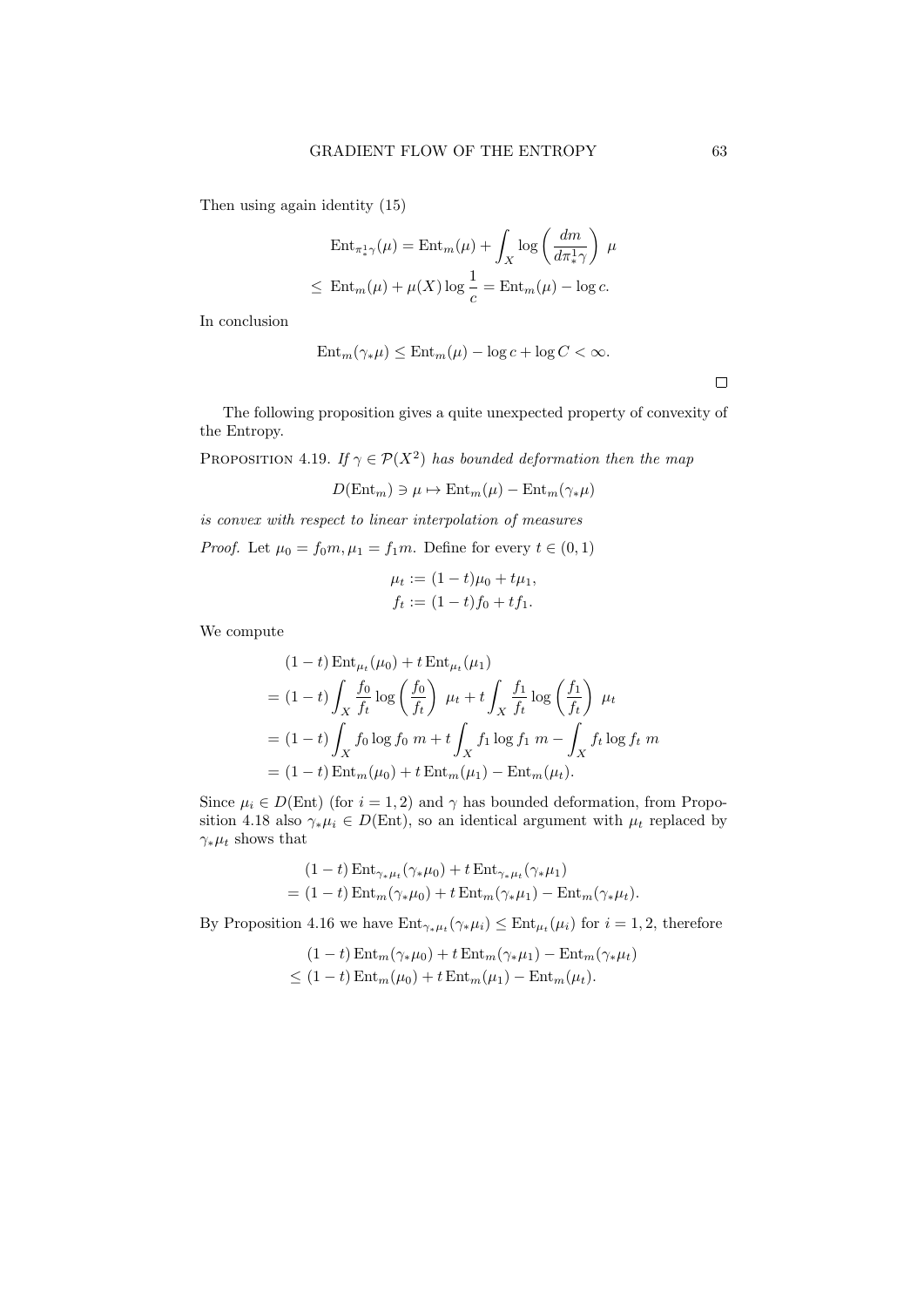Then using again identity (15)

$$
\operatorname{Ent}_{\pi^1_*\gamma}(\mu) = \operatorname{Ent}_{m}(\mu) + \int_X \log\left(\frac{dm}{d\pi^1_*\gamma}\right) \mu
$$
  

$$
\leq \operatorname{Ent}_{m}(\mu) + \mu(X) \log \frac{1}{c} = \operatorname{Ent}_{m}(\mu) - \log c.
$$

In conclusion

$$
Ent_m(\gamma_*\mu) \le Ent_m(\mu) - \log c + \log C < \infty.
$$

 $\Box$ 

The following proposition gives a quite unexpected property of convexity of the Entropy.

PROPOSITION 4.19. If  $\gamma \in \mathcal{P}(X^2)$  has bounded deformation then the map

$$
D(\text{Ent}_{m}) \ni \mu \mapsto \text{Ent}_{m}(\mu) - \text{Ent}_{m}(\gamma_{*}\mu)
$$

is convex with respect to linear interpolation of measures

*Proof.* Let  $\mu_0 = f_0 m, \mu_1 = f_1 m$ . Define for every  $t \in (0, 1)$ 

$$
\mu_t := (1 - t)\mu_0 + t\mu_1,
$$
  

$$
f_t := (1 - t)f_0 + t f_1.
$$

We compute

$$
(1-t) \operatorname{Ent}_{\mu_t}(\mu_0) + t \operatorname{Ent}_{\mu_t}(\mu_1)
$$
  
=  $(1-t) \int_X \frac{f_0}{f_t} \log \left(\frac{f_0}{f_t}\right) \mu_t + t \int_X \frac{f_1}{f_t} \log \left(\frac{f_1}{f_t}\right) \mu_t$   
=  $(1-t) \int_X f_0 \log f_0 \, m + t \int_X f_1 \log f_1 \, m - \int_X f_t \log f_t \, m$   
=  $(1-t) \operatorname{Ent}_m(\mu_0) + t \operatorname{Ent}_m(\mu_1) - \operatorname{Ent}_m(\mu_t).$ 

Since  $\mu_i \in D(\text{Ent})$  (for  $i = 1, 2$ ) and  $\gamma$  has bounded deformation, from Proposition 4.18 also  $\gamma_* \mu_i \in D(\text{Ent})$ , so an identical argument with  $\mu_t$  replaced by  $\gamma_* \mu_t$  shows that

$$
(1-t) \operatorname{Ent}_{\gamma_*\mu_t}(\gamma_*\mu_0) + t \operatorname{Ent}_{\gamma_*\mu_t}(\gamma_*\mu_1)
$$
  
= (1-t) \operatorname{Ent}\_{m}(\gamma\_\*\mu\_0) + t \operatorname{Ent}\_{m}(\gamma\_\*\mu\_1) - \operatorname{Ent}\_{m}(\gamma\_\*\mu\_t).

By Proposition 4.16 we have  $Ent_{\gamma_*\mu_t}(\gamma_*\mu_i) \leq Ent_{\mu_t}(\mu_i)$  for  $i = 1, 2$ , therefore

$$
(1-t) \operatorname{Ent}_{m}(\gamma_{*}\mu_{0}) + t \operatorname{Ent}_{m}(\gamma_{*}\mu_{1}) - \operatorname{Ent}_{m}(\gamma_{*}\mu_{t})
$$
  

$$
\leq (1-t) \operatorname{Ent}_{m}(\mu_{0}) + t \operatorname{Ent}_{m}(\mu_{1}) - \operatorname{Ent}_{m}(\mu_{t}).
$$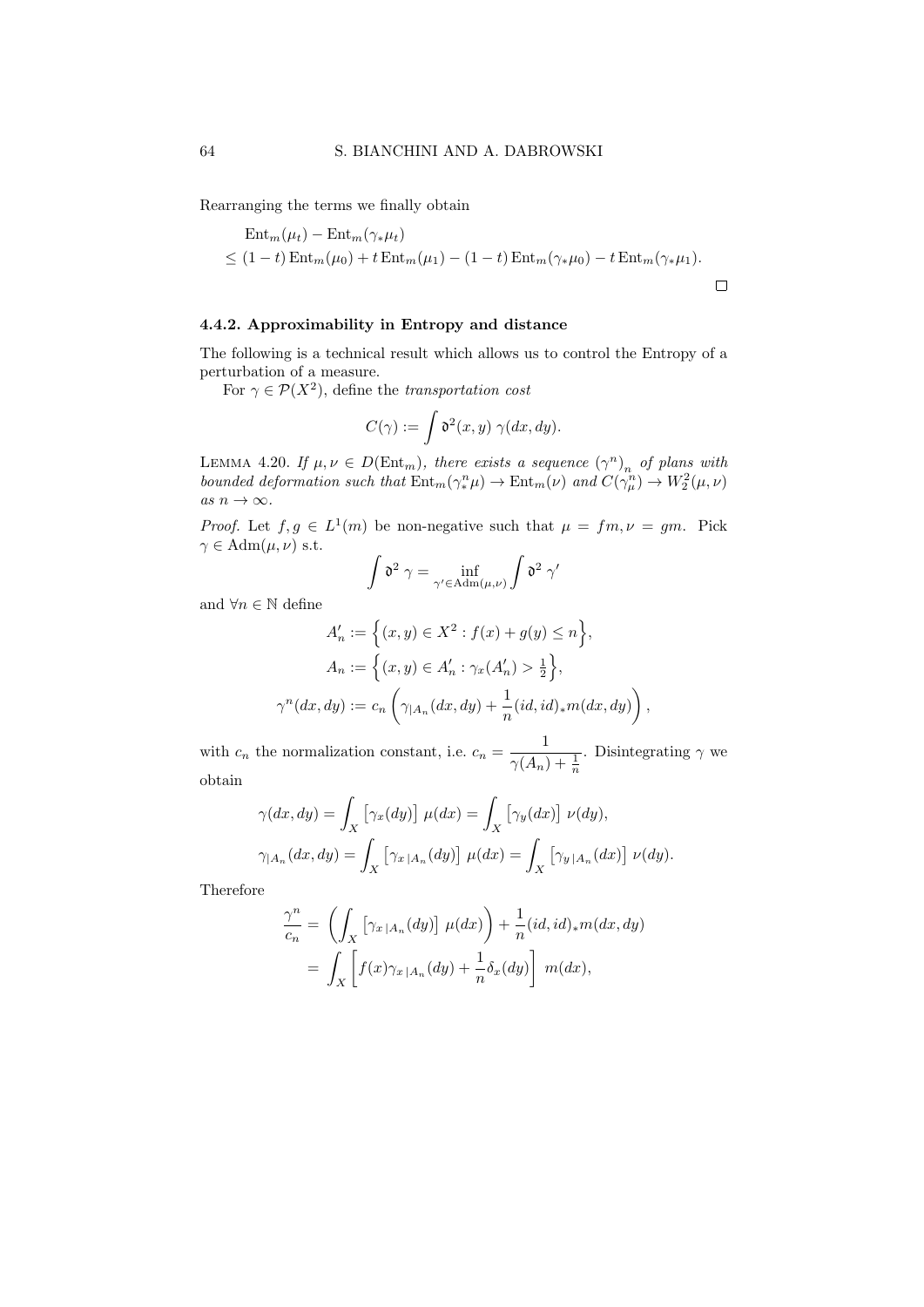Rearranging the terms we finally obtain

$$
\operatorname{Ent}_{m}(\mu_{t}) - \operatorname{Ent}_{m}(\gamma_{*}\mu_{t})
$$
  
\n
$$
\leq (1-t)\operatorname{Ent}_{m}(\mu_{0}) + t\operatorname{Ent}_{m}(\mu_{1}) - (1-t)\operatorname{Ent}_{m}(\gamma_{*}\mu_{0}) - t\operatorname{Ent}_{m}(\gamma_{*}\mu_{1}).
$$

#### 4.4.2. Approximability in Entropy and distance

The following is a technical result which allows us to control the Entropy of a perturbation of a measure.

For  $\gamma \in \mathcal{P}(X^2)$ , define the transportation cost

$$
C(\gamma) := \int \mathfrak{d}^2(x, y) \; \gamma(dx, dy).
$$

LEMMA 4.20. If  $\mu, \nu \in D(\text{Ent}_{m})$ , there exists a sequence  $(\gamma^{n})_{n}$  of plans with bounded deformation such that  $Ent_m(\gamma_*^n \mu) \to Ent_m(\nu)$  and  $C(\gamma_\mu^n) \to W_2^2(\mu, \nu)$ as  $n \to \infty$ .

*Proof.* Let  $f, g \in L^1(m)$  be non-negative such that  $\mu = fm, \nu = gm$ . Pick  $\gamma \in \text{Adm}(\mu, \nu)$  s.t.

$$
\int \mathfrak{d}^2 \; \gamma = \inf_{\gamma' \in \mathrm{Adm}(\mu,\nu)} \int \mathfrak{d}^2 \; \gamma'
$$

and  $\forall n \in \mathbb{N}$  define

$$
A'_n := \left\{ (x, y) \in X^2 : f(x) + g(y) \le n \right\},
$$
  
\n
$$
A_n := \left\{ (x, y) \in A'_n : \gamma_x(A'_n) > \frac{1}{2} \right\},
$$
  
\n
$$
\gamma^n(dx, dy) := c_n \left( \gamma_{|A_n}(dx, dy) + \frac{1}{n} (id, id)_* m(dx, dy) \right),
$$

with  $c_n$  the normalization constant, i.e.  $c_n = \frac{1}{(4\pi)^n}$  $\gamma(A_n) + \frac{1}{n}$ . Disintegrating  $\gamma$  we obtain

$$
\gamma(dx, dy) = \int_X \left[ \gamma_x(dy) \right] \mu(dx) = \int_X \left[ \gamma_y(dx) \right] \nu(dy),
$$
  

$$
\gamma_{|A_n}(dx, dy) = \int_X \left[ \gamma_{x|A_n}(dy) \right] \mu(dx) = \int_X \left[ \gamma_{y|A_n}(dx) \right] \nu(dy).
$$

Therefore

$$
\frac{\gamma^n}{c_n} = \left( \int_X \left[ \gamma_{x \mid A_n}(dy) \right] \mu(dx) \right) + \frac{1}{n} (id, id)_* m(dx, dy)
$$

$$
= \int_X \left[ f(x) \gamma_{x \mid A_n}(dy) + \frac{1}{n} \delta_x(dy) \right] m(dx),
$$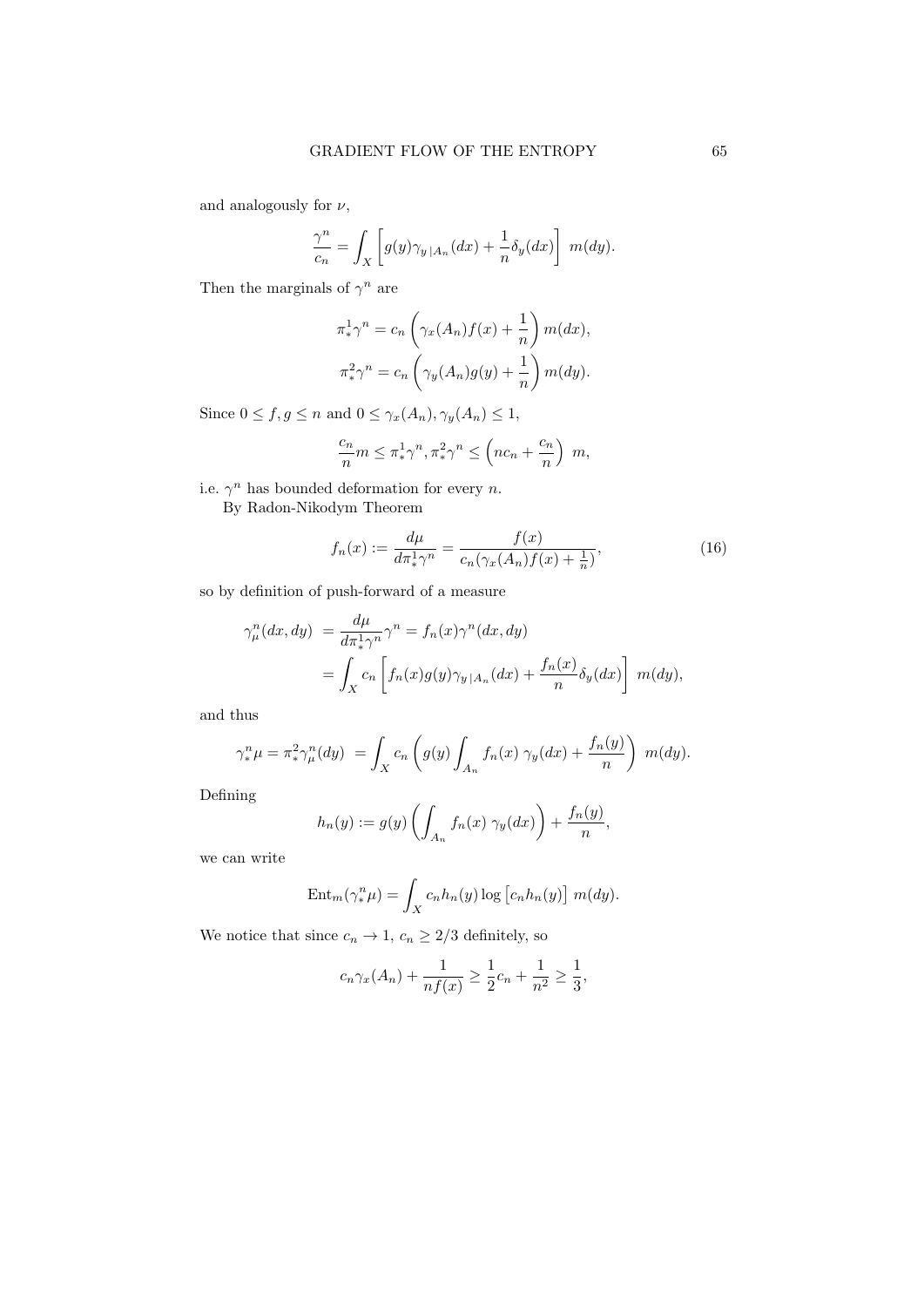and analogously for  $\nu,$ 

$$
\frac{\gamma^n}{c_n} = \int_X \left[ g(y)\gamma_{y\,|A_n}(dx) + \frac{1}{n} \delta_y(dx) \right] \, m(dy).
$$

Then the marginals of  $\gamma^n$  are

$$
\pi_*^1 \gamma^n = c_n \left( \gamma_x(A_n) f(x) + \frac{1}{n} \right) m(dx),
$$
  

$$
\pi_*^2 \gamma^n = c_n \left( \gamma_y(A_n) g(y) + \frac{1}{n} \right) m(dy).
$$

Since  $0 \le f, g \le n$  and  $0 \le \gamma_x(A_n), \gamma_y(A_n) \le 1$ ,

$$
\frac{c_n}{n}m \le \pi_*^1 \gamma^n, \pi_*^2 \gamma^n \le \left( nc_n + \frac{c_n}{n} \right) m,
$$

i.e.  $\gamma^n$  has bounded deformation for every *n*.

By Radon-Nikodym Theorem

$$
f_n(x) := \frac{d\mu}{d\pi_*^1 \gamma^n} = \frac{f(x)}{c_n(\gamma_x(A_n)f(x) + \frac{1}{n})},\tag{16}
$$

so by definition of push-forward of a measure

$$
\gamma_{\mu}^{n}(dx, dy) = \frac{d\mu}{d\pi_{*}^{1}\gamma^{n}}\gamma^{n} = f_{n}(x)\gamma^{n}(dx, dy)
$$

$$
= \int_{X} c_{n} \left[ f_{n}(x)g(y)\gamma_{y}|_{A_{n}}(dx) + \frac{f_{n}(x)}{n}\delta_{y}(dx) \right] m(dy),
$$

and thus

$$
\gamma_*^n \mu = \pi_*^2 \gamma_\mu^n(dy) = \int_X c_n \left( g(y) \int_{A_n} f_n(x) \gamma_y(dx) + \frac{f_n(y)}{n} \right) m(dy).
$$

Defining

$$
h_n(y) := g(y) \left( \int_{A_n} f_n(x) \gamma_y(dx) \right) + \frac{f_n(y)}{n},
$$

we can write

$$
\operatorname{Ent}_{m}(\gamma_{*}^{n}\mu) = \int_{X} c_{n}h_{n}(y)\log [c_{n}h_{n}(y)] m(dy).
$$

We notice that since  $c_n \to 1, c_n \geq 2/3$  definitely, so

$$
c_n \gamma_x(A_n) + \frac{1}{nf(x)} \ge \frac{1}{2}c_n + \frac{1}{n^2} \ge \frac{1}{3},
$$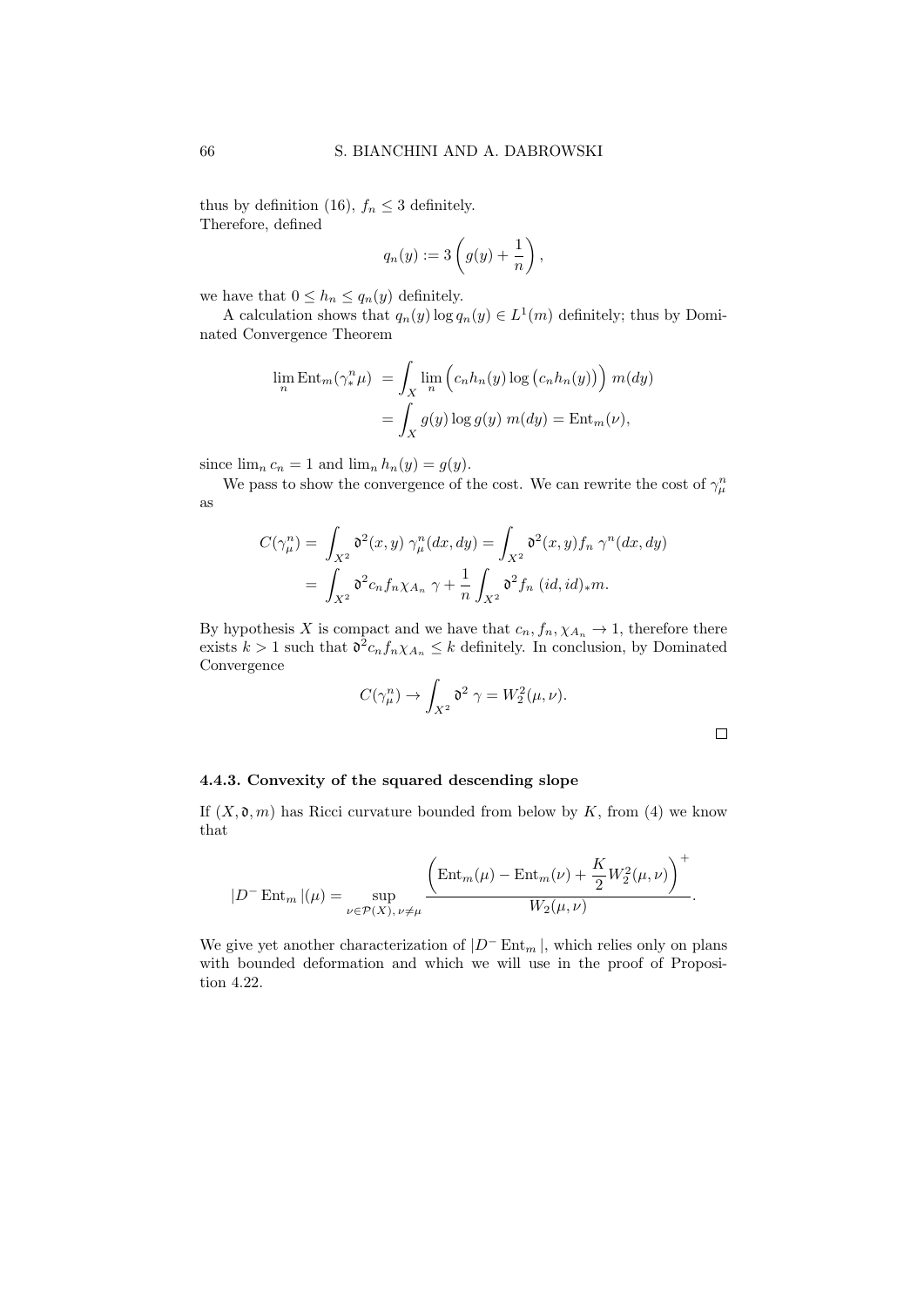thus by definition (16),  $f_n \leq 3$  definitely. Therefore, defined

$$
q_n(y) := 3\left(g(y) + \frac{1}{n}\right),\,
$$

we have that  $0 \leq h_n \leq q_n(y)$  definitely.

A calculation shows that  $q_n(y) \log q_n(y) \in L^1(m)$  definitely; thus by Dominated Convergence Theorem

$$
\lim_{n} \text{Ent}_{m}(\gamma_{*}^{n} \mu) = \int_{X} \lim_{n} \left( c_{n} h_{n}(y) \log (c_{n} h_{n}(y)) \right) m(dy)
$$

$$
= \int_{X} g(y) \log g(y) m(dy) = \text{Ent}_{m}(\nu),
$$

since  $\lim_{n} c_n = 1$  and  $\lim_{n} h_n(y) = g(y)$ .

We pass to show the convergence of the cost. We can rewrite the cost of  $\gamma_\mu^n$ as

$$
C(\gamma_{\mu}^{n}) = \int_{X^{2}} \mathfrak{d}^{2}(x, y) \, \gamma_{\mu}^{n}(dx, dy) = \int_{X^{2}} \mathfrak{d}^{2}(x, y) f_{n} \, \gamma^{n}(dx, dy)
$$

$$
= \int_{X^{2}} \mathfrak{d}^{2} c_{n} f_{n} \chi_{A_{n}} \, \gamma + \frac{1}{n} \int_{X^{2}} \mathfrak{d}^{2} f_{n} \, (id, id)_{*} m.
$$

By hypothesis X is compact and we have that  $c_n, f_n, \chi_{A_n} \to 1$ , therefore there exists  $k > 1$  such that  $\mathfrak{d}^2 c_n f_n \chi_{A_n} \leq k$  definitely. In conclusion, by Dominated Convergence

$$
C(\gamma_{\mu}^{n}) \to \int_{X^{2}} \mathfrak{d}^{2} \gamma = W_{2}^{2}(\mu, \nu).
$$

 $\Box$ 

#### 4.4.3. Convexity of the squared descending slope

If  $(X, \mathfrak{d}, m)$  has Ricci curvature bounded from below by K, from (4) we know that

$$
|D^-\operatorname{Ent}_{m}|(\mu)=\sup_{\nu\in\mathcal{P}(X),\,\nu\neq\mu}\frac{\left(\operatorname{Ent}_{m}(\mu)-\operatorname{Ent}_{m}(\nu)+\frac{K}{2}W_2^2(\mu,\nu)\right)^+}{W_2(\mu,\nu)}.
$$

We give yet another characterization of  $|D^-\text{Ent}_{m}|$ , which relies only on plans with bounded deformation and which we will use in the proof of Proposition 4.22.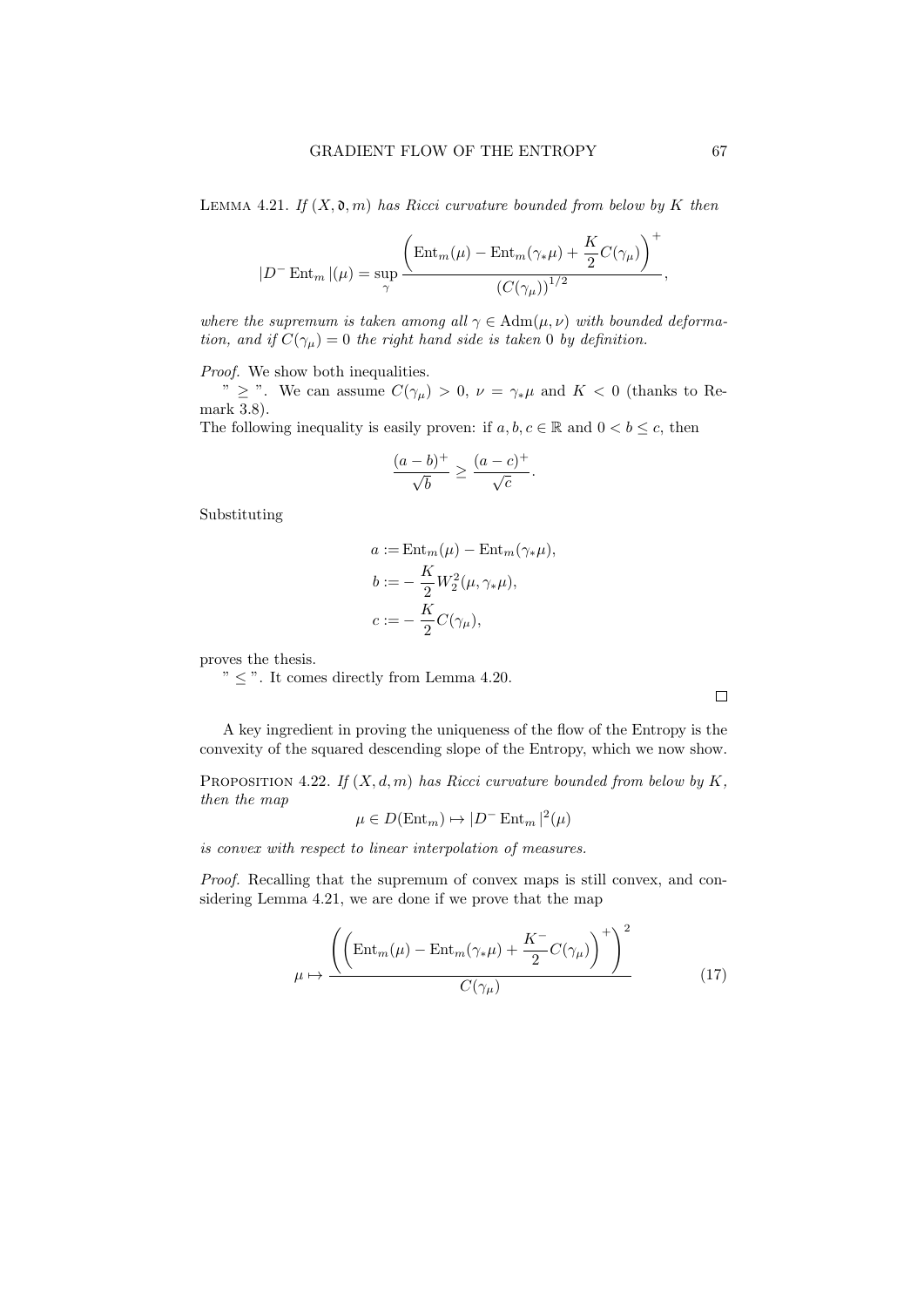LEMMA 4.21. If  $(X, \mathfrak{d}, m)$  has Ricci curvature bounded from below by K then

$$
|D^-\operatorname{Ent}_{m}|(\mu)=\sup_{\gamma}\frac{\left(\operatorname{Ent}_{m}(\mu)-\operatorname{Ent}_{m}(\gamma_*\mu)+\frac{K}{2}C(\gamma_{\mu})\right)^+}{\left(C(\gamma_{\mu})\right)^{1/2}},
$$

where the supremum is taken among all  $\gamma \in \text{Adm}(\mu, \nu)$  with bounded deformation, and if  $C(\gamma_{\mu})=0$  the right hand side is taken 0 by definition.

Proof. We show both inequalities.

 $\sum_{\nu}$   $\geq$  ". We can assume  $C(\gamma_{\mu}) > 0$ ,  $\nu = \gamma_{\ast}\mu$  and  $K < 0$  (thanks to Remark 3.8).

The following inequality is easily proven: if  $a, b, c \in \mathbb{R}$  and  $0 < b \leq c$ , then

$$
\frac{(a-b)^{+}}{\sqrt{b}} \ge \frac{(a-c)^{+}}{\sqrt{c}}.
$$

Substituting

$$
a := \text{Ent}_{m}(\mu) - \text{Ent}_{m}(\gamma_{*}\mu),
$$
  

$$
b := -\frac{K}{2}W_{2}^{2}(\mu, \gamma_{*}\mu),
$$
  

$$
c := -\frac{K}{2}C(\gamma_{\mu}),
$$

proves the thesis.

 $\degree$   $\degree$   $\leq$   $\degree$ . It comes directly from Lemma 4.20.

A key ingredient in proving the uniqueness of the flow of the Entropy is the convexity of the squared descending slope of the Entropy, which we now show.

PROPOSITION 4.22. If  $(X, d, m)$  has Ricci curvature bounded from below by K, then the map

$$
\mu \in D(\text{Ent}_{m}) \mapsto |D^{-} \text{Ent}_{m}|^{2}(\mu)
$$

is convex with respect to linear interpolation of measures.

Proof. Recalling that the supremum of convex maps is still convex, and considering Lemma 4.21, we are done if we prove that the map

$$
\mu \mapsto \frac{\left( \left( \text{Ent}_{m}(\mu) - \text{Ent}_{m}(\gamma_{*}\mu) + \frac{K^{-}}{2} C(\gamma_{\mu}) \right)^{+} \right)^{2}}{C(\gamma_{\mu})}
$$
(17)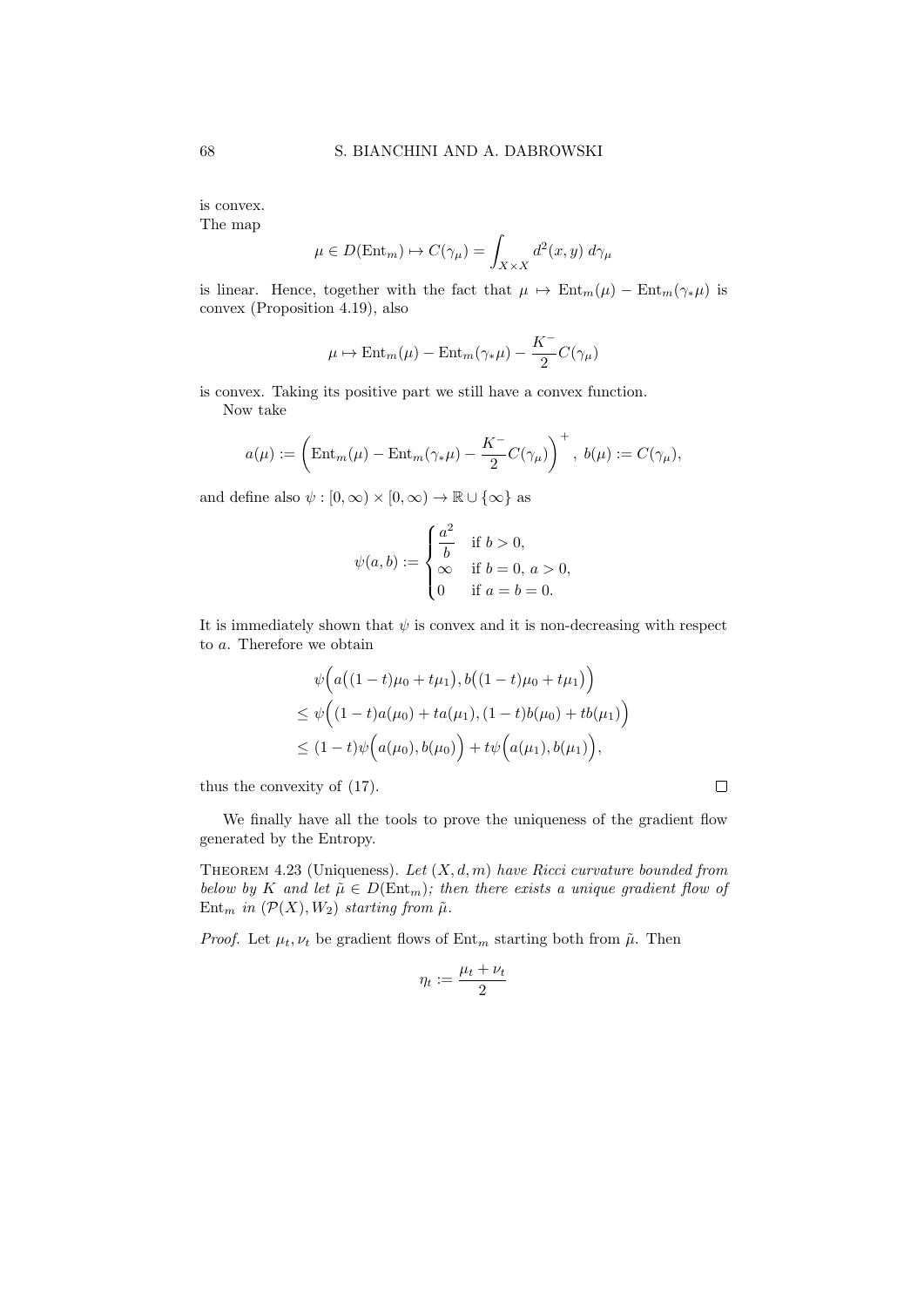is convex.

The map

$$
\mu \in D(\text{Ent}_{m}) \mapsto C(\gamma_{\mu}) = \int_{X \times X} d^{2}(x, y) d\gamma_{\mu}
$$

is linear. Hence, together with the fact that  $\mu \mapsto \text{Ent}_{m}(\mu) - \text{Ent}_{m}(\gamma_{*}\mu)$  is convex (Proposition 4.19), also

$$
\mu \mapsto \text{\rm Ent}_m(\mu)-\text{\rm Ent}_m(\gamma_*\mu)-\frac{K^-}{2}C(\gamma_\mu)
$$

is convex. Taking its positive part we still have a convex function. Now take

$$
a(\mu) := \left(\text{Ent}_{m}(\mu) - \text{Ent}_{m}(\gamma_*\mu) - \frac{K^{-}}{2}C(\gamma_{\mu})\right)^{+}, b(\mu) := C(\gamma_{\mu}),
$$

and define also  $\psi : [0, \infty) \times [0, \infty) \to \mathbb{R} \cup {\infty}$  as

$$
\psi(a, b) := \begin{cases} \frac{a^2}{b} & \text{if } b > 0, \\ \infty & \text{if } b = 0, \ a > 0, \\ 0 & \text{if } a = b = 0. \end{cases}
$$

It is immediately shown that  $\psi$  is convex and it is non-decreasing with respect to a. Therefore we obtain

$$
\psi\Big(a\big((1-t)\mu_0+t\mu_1\big),b\big((1-t)\mu_0+t\mu_1\big)\Big) \leq \psi\Big((1-t)a(\mu_0)+ta(\mu_1),(1-t)b(\mu_0)+tb(\mu_1)\Big) \leq (1-t)\psi\Big(a(\mu_0),b(\mu_0)\Big)+t\psi\Big(a(\mu_1),b(\mu_1)\Big),
$$

thus the convexity of (17).

We finally have all the tools to prove the uniqueness of the gradient flow generated by the Entropy.

THEOREM 4.23 (Uniqueness). Let  $(X, d, m)$  have Ricci curvature bounded from below by K and let  $\tilde{\mu} \in D(\text{Ent}_{m})$ ; then there exists a unique gradient flow of Ent<sub>m</sub> in  $(\mathcal{P}(X), W_2)$  starting from  $\tilde{\mu}$ .

*Proof.* Let  $\mu_t, \nu_t$  be gradient flows of  $Ent_m$  starting both from  $\tilde{\mu}$ . Then

$$
\eta_t:=\frac{\mu_t+\nu_t}{2}
$$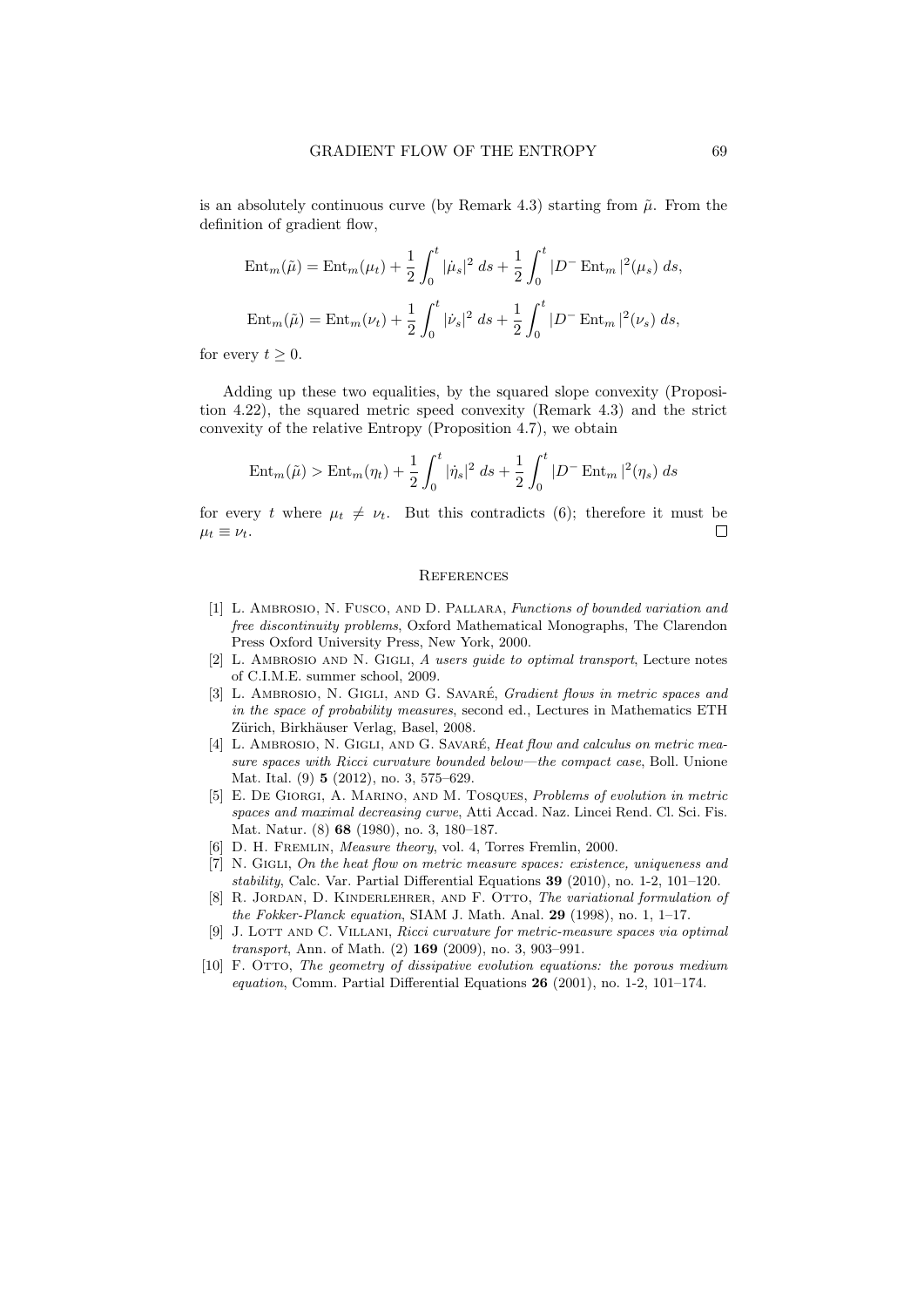is an absolutely continuous curve (by Remark 4.3) starting from  $\tilde{\mu}$ . From the definition of gradient flow,

$$
\text{Ent}_{m}(\tilde{\mu}) = \text{Ent}_{m}(\mu_{t}) + \frac{1}{2} \int_{0}^{t} |\dot{\mu}_{s}|^{2} ds + \frac{1}{2} \int_{0}^{t} |D^{-} \text{Ent}_{m}|^{2}(\mu_{s}) ds,
$$
  

$$
\text{Ent}_{m}(\tilde{\mu}) = \text{Ent}_{m}(\nu_{t}) + \frac{1}{2} \int_{0}^{t} |\dot{\nu}_{s}|^{2} ds + \frac{1}{2} \int_{0}^{t} |D^{-} \text{Ent}_{m}|^{2}(\nu_{s}) ds,
$$

for every  $t \geq 0$ .

Adding up these two equalities, by the squared slope convexity (Proposition 4.22), the squared metric speed convexity (Remark 4.3) and the strict convexity of the relative Entropy (Proposition 4.7), we obtain

$$
\text{Ent}_{m}(\tilde{\mu}) > \text{Ent}_{m}(\eta_{t}) + \frac{1}{2} \int_{0}^{t} |\dot{\eta}_{s}|^{2} \, ds + \frac{1}{2} \int_{0}^{t} |D^{-} \text{Ent}_{m}|^{2}(\eta_{s}) \, ds
$$

for every t where  $\mu_t \neq \nu_t$ . But this contradicts (6); therefore it must be  $\mu_t \equiv \nu_t.$ П

#### **REFERENCES**

- [1] L. Ambrosio, N. Fusco, and D. Pallara, Functions of bounded variation and free discontinuity problems, Oxford Mathematical Monographs, The Clarendon Press Oxford University Press, New York, 2000.
- [2] L. AMBROSIO AND N. GIGLI, A users guide to optimal transport, Lecture notes of C.I.M.E. summer school, 2009.
- [3] L. AMBROSIO, N. GIGLI, AND G. SAVARÉ, *Gradient flows in metric spaces and* in the space of probability measures, second ed., Lectures in Mathematics ETH Zürich, Birkhäuser Verlag, Basel, 2008.
- [4] L. AMBROSIO, N. GIGLI, AND G. SAVARÉ, Heat flow and calculus on metric measure spaces with Ricci curvature bounded below—the compact case, Boll. Unione Mat. Ital. (9) 5 (2012), no. 3, 575–629.
- [5] E. De Giorgi, A. Marino, and M. Tosques, Problems of evolution in metric spaces and maximal decreasing curve, Atti Accad. Naz. Lincei Rend. Cl. Sci. Fis. Mat. Natur. (8) 68 (1980), no. 3, 180–187.
- [6] D. H. Fremlin, Measure theory, vol. 4, Torres Fremlin, 2000.
- [7] N. GIGLI, On the heat flow on metric measure spaces: existence, uniqueness and stability, Calc. Var. Partial Differential Equations 39 (2010), no. 1-2, 101–120.
- [8] R. JORDAN, D. KINDERLEHRER, AND F. OTTO, The variational formulation of the Fokker-Planck equation, SIAM J. Math. Anal. 29 (1998), no. 1,  $1-17$ .
- [9] J. LOTT AND C. VILLANI, Ricci curvature for metric-measure spaces via optimal transport, Ann. of Math. (2) 169 (2009), no. 3, 903–991.
- [10] F. Otto, The geometry of dissipative evolution equations: the porous medium equation, Comm. Partial Differential Equations 26 (2001), no. 1-2, 101–174.